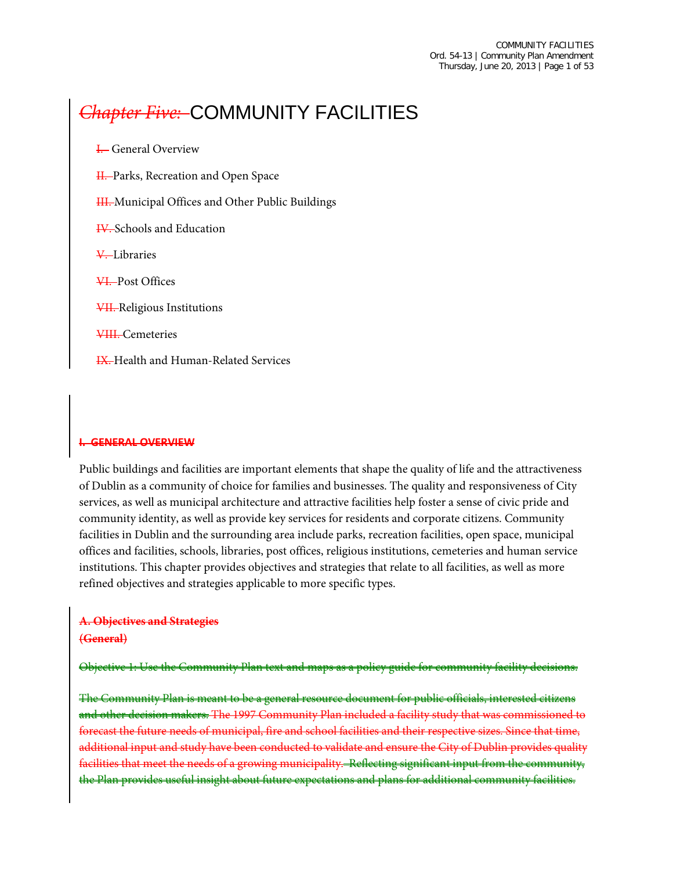# *Chapter Five:* COMMUNITY FACILITIES

**I.** General Overview H. Parks, Recreation and Open Space HI. Municipal Offices and Other Public Buildings IV. Schools and Education V. Libraries VI. Post Offices VII. Religious Institutions VIII. Cemeteries **IX.** Health and Human-Related Services

#### **I. GENERAL OVERVIEW**

Public buildings and facilities are important elements that shape the quality of life and the attractiveness of Dublin as a community of choice for families and businesses. The quality and responsiveness of City services, as well as municipal architecture and attractive facilities help foster a sense of civic pride and community identity, as well as provide key services for residents and corporate citizens. Community facilities in Dublin and the surrounding area include parks, recreation facilities, open space, municipal offices and facilities, schools, libraries, post offices, religious institutions, cemeteries and human service institutions. This chapter provides objectives and strategies that relate to all facilities, as well as more refined objectives and strategies applicable to more specific types.

# **A. Objectives and Strategies**

#### **(General)**

Objective 1: Use the Community Plan text and maps as a policy guide for community facility decisions.

The Community Plan is meant to be a general resource document for public officials, interested citizens and other decision makers. The 1997 Community Plan included a facility study that was commissioned to forecast the future needs of municipal, fire and school facilities and their respective sizes. Since that time, additional input and study have been conducted to validate and ensure the City of Dublin provides quality facilities that meet the needs of a growing municipality. Reflecting significant input from the community, the Plan provides useful insight about future expectations and plans for additional community facilities.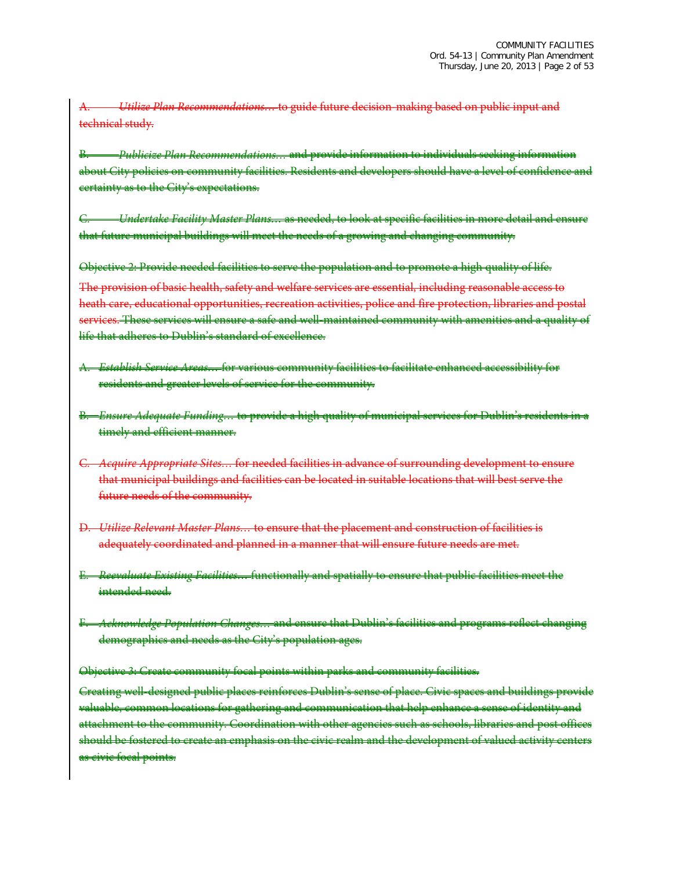A. *Utilize Plan Recommendations…* to guide future decision-making based on public input and technical study.

B. *Publicize Plan Recommendations…* and provide information to individuals seeking information about City policies on community facilities. Residents and developers should have a level of confidence and certainty as to the City's expectations.

C. *Undertake Facility Master Plans…* as needed, to look at specific facilities in more detail and ensure that future municipal buildings will meet the needs of a growing and changing community.

Objective 2: Provide needed facilities to serve the population and to promote a high quality of life. The provision of basic health, safety and welfare services are essential, including reasonable access to heath care, educational opportunities, recreation activities, police and fire protection, libraries and postal services. These services will ensure a safe and well-maintained community with amenities and a quality of life that adheres to Dublin's standard of excellence.

- A. *Establish Service Areas…* for various community facilities to facilitate enhanced accessibility for residents and greater levels of service for the community.
- B. *Ensure Adequate Funding…* to provide a high quality of municipal services for Dublin's residents in a timely and efficient manner.
- C. *Acquire Appropriate Sites…* for needed facilities in advance of surrounding development to ensure that municipal buildings and facilities can be located in suitable locations that will best serve the future needs of the community.
- D. *Utilize Relevant Master Plans…* to ensure that the placement and construction of facilities is adequately coordinated and planned in a manner that will ensure future needs are met.
- E. *Reevaluate Existing Facilities…* functionally and spatially to ensure that public facilities meet the intended need.
- F. *Acknowledge Population Changes…* and ensure that Dublin's facilities and programs reflect changing demographics and needs as the City's population ages.

#### Objective 3: Create community focal points within parks and community facilities.

Creating well-designed public places reinforces Dublin's sense of place. Civic spaces and buildings provide valuable, common locations for gathering and communication that help enhance a sense of identity and attachment to the community. Coordination with other agencies such as schools, libraries and post offices should be fostered to create an emphasis on the civic realm and the development of valued activity centers as civic focal points.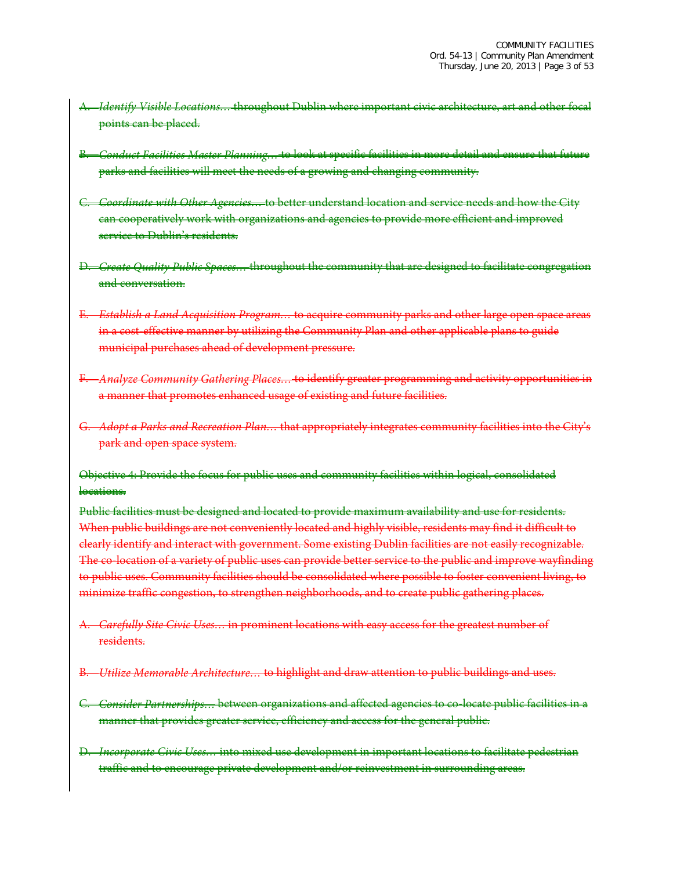- A. *Identify Visible Locations…* throughout Dublin where important civic architecture, art and other focal points can be placed.
- B. *Conduct Facilities Master Planning…* to look at specific facilities in more detail and ensure that future parks and facilities will meet the needs of a growing and changing community.
- C. *Coordinate with Other Agencies…* to better understand location and service needs and how the City can cooperatively work with organizations and agencies to provide more efficient and improved service to Dublin's residents.
- D. *Create Quality Public Spaces…* throughout the community that are designed to facilitate congregation and conversation.
- E. *Establish a Land Acquisition Program…* to acquire community parks and other large open space areas in a cost-effective manner by utilizing the Community Plan and other applicable plans to guide municipal purchases ahead of development pressure.
- F. *Analyze Community Gathering Places…* to identify greater programming and activity opportunities in a manner that promotes enhanced usage of existing and future facilities.
- Adopt a Parks and Recreation Plan... that appropriately integrates community facilities into the City's park and open space system.

Objective 4: Provide the focus for public uses and community facilities within logical, consolidated locations.

Public facilities must be designed and located to provide maximum availability and use for residents. When public buildings are not conveniently located and highly visible, residents may find it difficult to clearly identify and interact with government. Some existing Dublin facilities are not easily recognizable. The co-location of a variety of public uses can provide better service to the public and improve wayfinding to public uses. Community facilities should be consolidated where possible to foster convenient living, to minimize traffic congestion, to strengthen neighborhoods, and to create public gathering places.

- A. *Carefully Site Civic Uses…* in prominent locations with easy access for the greatest number of residents.
- B. *Utilize Memorable Architecture…* to highlight and draw attention to public buildings and uses.
- C. *Consider Partnerships…* between organizations and affected agencies to co-locate public facilities in a manner that provides greater service, efficiency and access for the general public.
- D. *Incorporate Civic Uses…* into mixed use development in important locations to facilitate pedestrian traffic and to encourage private development and/or reinvestment in surrounding areas.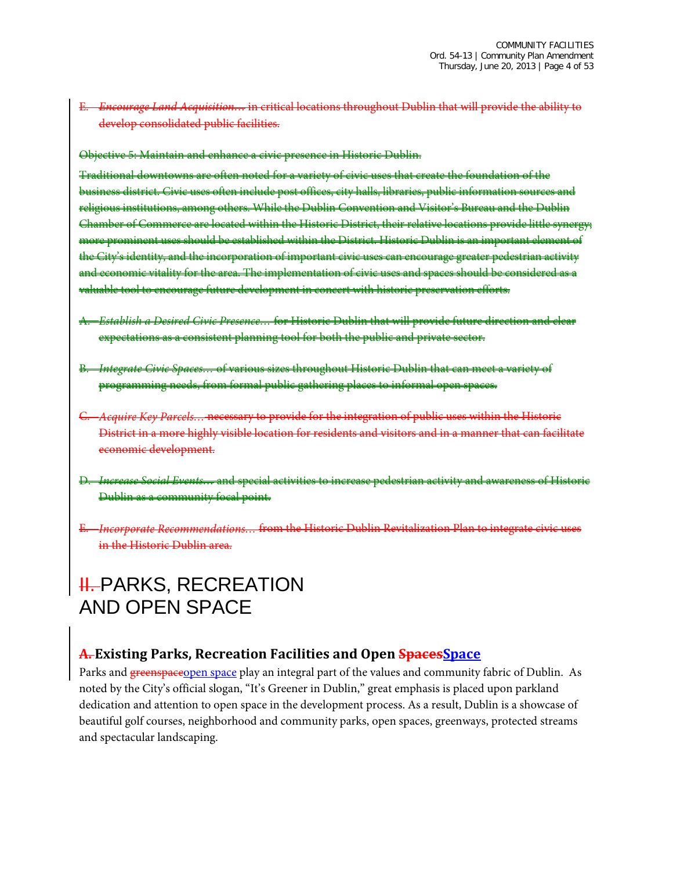E. *Encourage Land Acquisition…* in critical locations throughout Dublin that will provide the ability to develop consolidated public facilities.

Objective 5: Maintain and enhance a civic presence in Historic Dublin.

Traditional downtowns are often noted for a variety of civic uses that create the foundation of the business district. Civic uses often include post offices, city halls, libraries, public information sources and religious institutions, among others. While the Dublin Convention and Visitor's Bureau and the Dublin Chamber of Commerce are located within the Historic District, their relative locations provide little synergy; more prominent uses should be established within the District. Historic Dublin is an important element of the City's identity, and the incorporation of important civic uses can encourage greater pedestrian activity and economic vitality for the area. The implementation of civic uses and spaces should be considered as a valuable tool to encourage future development in concert with historic preservation efforts.

- A. *Establish a Desired Civic Presence…* for Historic Dublin that will provide future direction and clear expectations as a consistent planning tool for both the public and private sector.
- B. *Integrate Civic Spaces…* of various sizes throughout Historic Dublin that can meet a variety of programming needs, from formal public gathering places to informal open spaces.
- C. *Acquire Key Parcels…* necessary to provide for the integration of public uses within the Historic District in a more highly visible location for residents and visitors and in a manner that can facilitate economic development.
- D. *Increase Social Events…* and special activities to increase pedestrian activity and awareness of Historic Dublin as a community focal point.
- E. *Incorporate Recommendations…* from the Historic Dublin Revitalization Plan to integrate civic uses in the Historic Dublin area.

# **II. PARKS, RECREATION** AND OPEN SPACE

## **A. Existing Parks, Recreation Facilities and Open SpacesSpace**

Parks and greenspaceopen space play an integral part of the values and community fabric of Dublin. As noted by the City's official slogan, "It's Greener in Dublin," great emphasis is placed upon parkland dedication and attention to open space in the development process. As a result, Dublin is a showcase of beautiful golf courses, neighborhood and community parks, open spaces, greenways, protected streams and spectacular landscaping.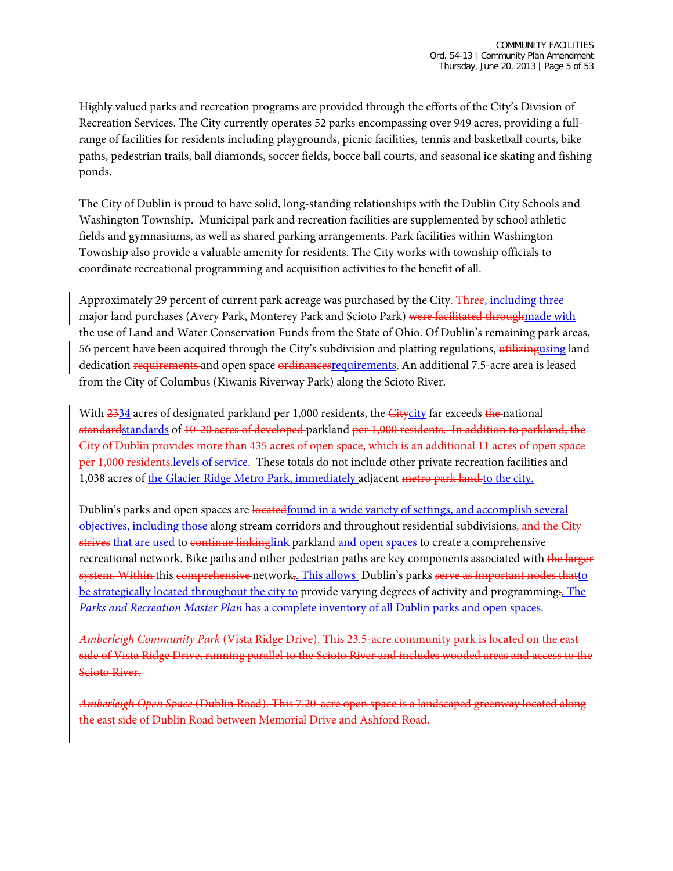Highly valued parks and recreation programs are provided through the efforts of the City's Division of Recreation Services. The City currently operates 52 parks encompassing over 949 acres, providing a fullrange of facilities for residents including playgrounds, picnic facilities, tennis and basketball courts, bike paths, pedestrian trails, ball diamonds, soccer fields, bocce ball courts, and seasonal ice skating and fishing ponds.

The City of Dublin is proud to have solid, long-standing relationships with the Dublin City Schools and Washington Township. Municipal park and recreation facilities are supplemented by school athletic fields and gymnasiums, as well as shared parking arrangements. Park facilities within Washington Township also provide a valuable amenity for residents. The City works with township officials to coordinate recreational programming and acquisition activities to the benefit of all.

Approximately 29 percent of current park acreage was purchased by the City. Three, including three major land purchases (Avery Park, Monterey Park and Scioto Park) were facilitated throughmade with the use of Land and Water Conservation Funds from the State of Ohio. Of Dublin's remaining park areas, 56 percent have been acquired through the City's subdivision and platting regulations, utilizingusing land dedication requirements and open space ordinances requirements. An additional 7.5-acre area is leased from the City of Columbus (Kiwanis Riverway Park) along the Scioto River.

With  $2334$  acres of designated parkland per 1,000 residents, the  $G$ itycity far exceeds the national standardstandards of 10-20 acres of developed parkland per 1,000 residents. In addition to parkland, the City of Dublin provides more than 435 acres of open space, which is an additional 11 acres of open space per 1,000 residents.levels of service. These totals do not include other private recreation facilities and 1,038 acres of the Glacier Ridge Metro Park, immediately adjacent metro park land.to the city.

Dublin's parks and open spaces are located found in a wide variety of settings, and accomplish several objectives, including those along stream corridors and throughout residential subdivisions, and the City strives that are used to continue linkinglink parkland and open spaces to create a comprehensive recreational network. Bike paths and other pedestrian paths are key components associated with the larger system. Within this comprehensive network<sub>5</sub>. This allows Dublin's parks serve as important nodes thatto be strategically located throughout the city to provide varying degrees of activity and programming. The *Parks and Recreation Master Plan* has a complete inventory of all Dublin parks and open spaces.

*Amberleigh Community Park* (Vista Ridge Drive). This 23.5-acre community park is located on the east side of Vista Ridge Drive, running parallel to the Scioto River and includes wooded areas and access to the Scioto River.

*Amberleigh Open Space* (Dublin Road). This 7.20-acre open space is a landscaped greenway located along the east side of Dublin Road between Memorial Drive and Ashford Road.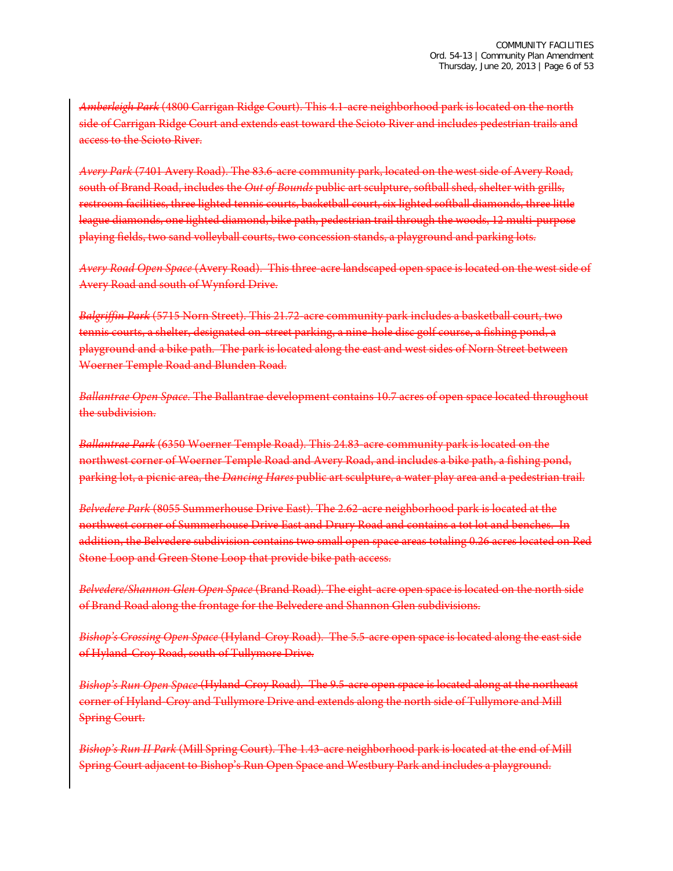*Amberleigh Park* (4800 Carrigan Ridge Court). This 4.1-acre neighborhood park is located on the north side of Carrigan Ridge Court and extends east toward the Scioto River and includes pedestrian trails and access to the Scioto River.

*Avery Park* (7401 Avery Road). The 83.6-acre community park, located on the west side of Avery Road, south of Brand Road, includes the *Out of Bounds* public art sculpture, softball shed, shelter with grills, restroom facilities, three lighted tennis courts, basketball court, six lighted softball diamonds, three little league diamonds, one lighted diamond, bike path, pedestrian trail through the woods, 12 multi-purpose playing fields, two sand volleyball courts, two concession stands, a playground and parking lots.

*Avery Road Open Space* (Avery Road). This three-acre landscaped open space is located on the west side of Avery Road and south of Wynford Drive.

Balgriffin Park (5715 Norn Street). This 21.72-acre community park includes a basketball court, tennis courts, a shelter, designated on-street parking, a nine-hole disc golf course, a fishing pond, a playground and a bike path. The park is located along the east and west sides of Norn Street between Woerner Temple Road and Blunden Road.

*Ballantrae Open Space*. The Ballantrae development contains 10.7 acres of open space located throughout the subdivision.

*Ballantrae Park* (6350 Woerner Temple Road). This 24.83-acre community park is located on the northwest corner of Woerner Temple Road and Avery Road, and includes a bike path, a fishing pond, parking lot, a picnic area, the *Dancing Hares* public art sculpture, a water play area and a pedestrian trail.

*Belvedere Park* (8055 Summerhouse Drive East). The 2.62-acre neighborhood park is located at the northwest corner of Summerhouse Drive East and Drury Road and contains a tot lot and benches. In addition, the Belvedere subdivision contains two small open space areas totaling 0.26 acres located on Red Stone Loop and Green Stone Loop that provide bike path access.

*Belvedere/Shannon Glen Open Space* (Brand Road). The eight-acre open space is located on the north side of Brand Road along the frontage for the Belvedere and Shannon Glen subdivisions.

*Bishop's Crossing Open Space* (Hyland-Croy Road). The 5.5-acre open space is located along the east side of Hyland-Croy Road, south of Tullymore Drive.

*Bishop's Run Open Space* (Hyland-Croy Road). The 9.5-acre open space is located along at the northeast corner of Hyland-Croy and Tullymore Drive and extends along the north side of Tullymore and Mill Spring Court.

*Bishop's Run II Park* (Mill Spring Court). The 1.43-acre neighborhood park is located at the end of Mill Spring Court adjacent to Bishop's Run Open Space and Westbury Park and includes a playground.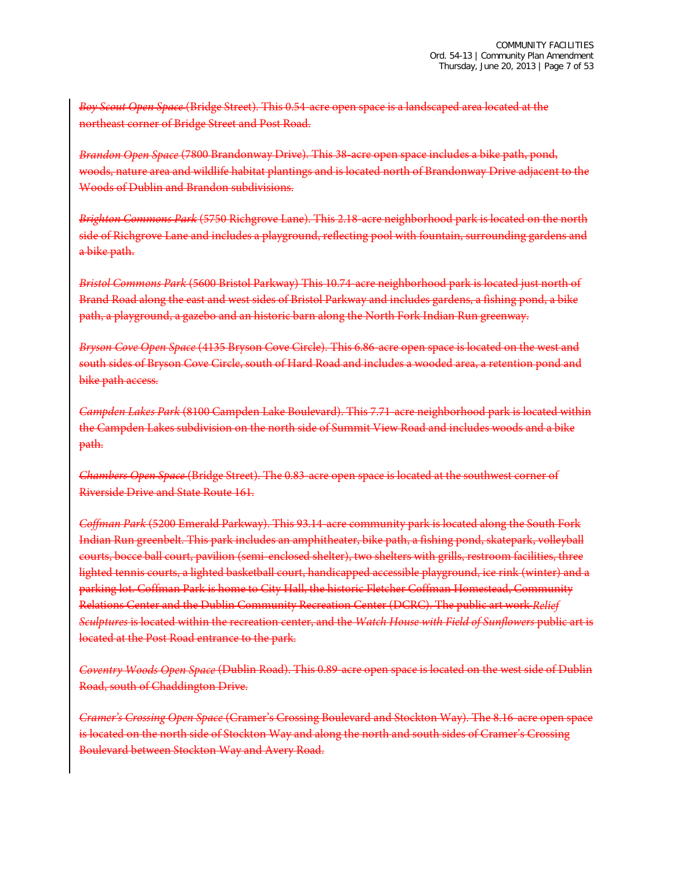*Boy Scout Open Space* (Bridge Street). This 0.54-acre open space is a landscaped area located at the northeast corner of Bridge Street and Post Road.

*Brandon Open Space* (7800 Brandonway Drive). This 38-acre open space includes a bike path, pond, woods, nature area and wildlife habitat plantings and is located north of Brandonway Drive adjacent to the Woods of Dublin and Brandon subdivisions.

*Brighton Commons Park* (5750 Richgrove Lane). This 2.18-acre neighborhood park is located on the north side of Richgrove Lane and includes a playground, reflecting pool with fountain, surrounding gardens and a bike path.

*Bristol Commons Park* (5600 Bristol Parkway) This 10.74-acre neighborhood park is located just north of Brand Road along the east and west sides of Bristol Parkway and includes gardens, a fishing pond, a bike path, a playground, a gazebo and an historic barn along the North Fork Indian Run greenway.

*Bryson Cove Open Space* (4135 Bryson Cove Circle). This 6.86-acre open space is located on the west and south sides of Bryson Cove Circle, south of Hard Road and includes a wooded area, a retention pond and bike path access.

*Campden Lakes Park* (8100 Campden Lake Boulevard). This 7.71-acre neighborhood park is located within the Campden Lakes subdivision on the north side of Summit View Road and includes woods and a bike path.

*Chambers Open Space* (Bridge Street). The 0.83-acre open space is located at the southwest corner of Riverside Drive and State Route 161.

*Coffman Park* (5200 Emerald Parkway). This 93.14-acre community park is located along the South Fork Indian Run greenbelt. This park includes an amphitheater, bike path, a fishing pond, skatepark, volleyball courts, bocce ball court, pavilion (semi-enclosed shelter), two shelters with grills, restroom facilities, three lighted tennis courts, a lighted basketball court, handicapped accessible playground, ice rink (winter) and a parking lot. Coffman Park is home to City Hall, the historic Fletcher Coffman Homestead, Community Relations Center and the Dublin Community Recreation Center (DCRC). The public art work *Relief Sculptures* is located within the recreation center, and the *Watch House with Field of Sunflowers* public art is located at the Post Road entrance to the park.

*Coventry Woods Open Space* (Dublin Road). This 0.89-acre open space is located on the west side of Dublin Road, south of Chaddington Drive.

*Cramer's Crossing Open Space* (Cramer's Crossing Boulevard and Stockton Way). The 8.16-acre open space is located on the north side of Stockton Way and along the north and south sides of Cramer's Crossing Boulevard between Stockton Way and Avery Road.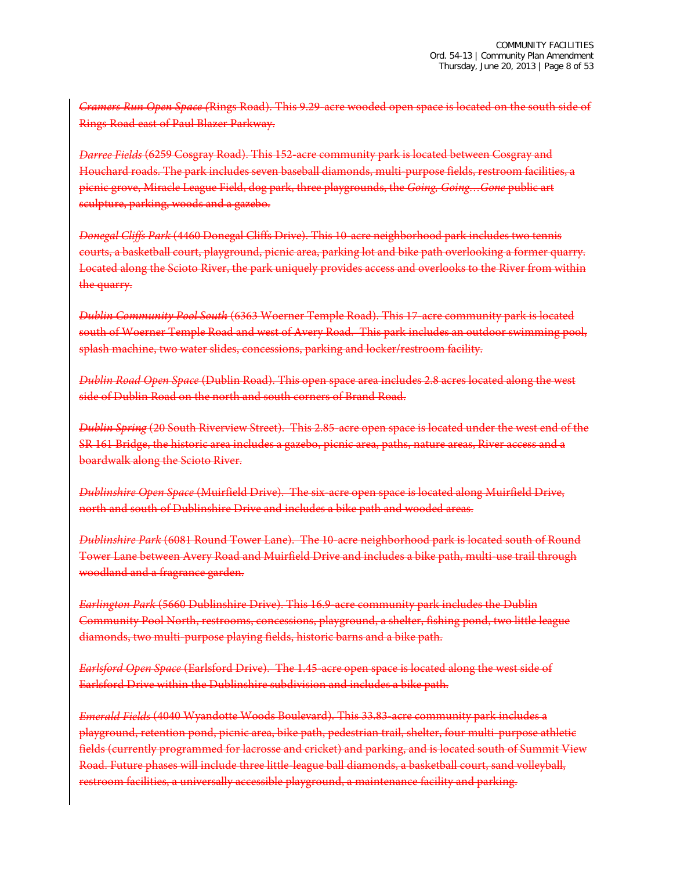*Cramers Run Open Space (*Rings Road). This 9.29-acre wooded open space is located on the south side of Rings Road east of Paul Blazer Parkway.

*Darree Fields* (6259 Cosgray Road). This 152-acre community park is located between Cosgray and Houchard roads. The park includes seven baseball diamonds, multi-purpose fields, restroom facilities, a picnic grove, Miracle League Field, dog park, three playgrounds, the *Going, Going…Gone* public art sculpture, parking, woods and a gazebo.

*Donegal Cliffs Park* (4460 Donegal Cliffs Drive). This 10-acre neighborhood park includes two tennis courts, a basketball court, playground, picnic area, parking lot and bike path overlooking a former quarry. Located along the Scioto River, the park uniquely provides access and overlooks to the River from within the quarry.

*Dublin Community Pool South* (6363 Woerner Temple Road). This 17-acre community park is located south of Woerner Temple Road and west of Avery Road. This park includes an outdoor swimming pool, splash machine, two water slides, concessions, parking and locker/restroom facility.

*Dublin Road Open Space* (Dublin Road). This open space area includes 2.8 acres located along the west side of Dublin Road on the north and south corners of Brand Road.

*Dublin Spring* (20 South Riverview Street). This 2.85-acre open space is located under the west end of the SR 161 Bridge, the historic area includes a gazebo, picnic area, paths, nature areas, River access and a boardwalk along the Scioto River.

*Dublinshire Open Space* (Muirfield Drive). The six-acre open space is located along Muirfield Drive, north and south of Dublinshire Drive and includes a bike path and wooded areas.

*Dublinshire Park* (6081 Round Tower Lane). The 10-acre neighborhood park is located south of Round Tower Lane between Avery Road and Muirfield Drive and includes a bike path, multi-use trail through woodland and a fragrance garden.

*Earlington Park* (5660 Dublinshire Drive). This 16.9-acre community park includes the Dublin Community Pool North, restrooms, concessions, playground, a shelter, fishing pond, two little league diamonds, two multi-purpose playing fields, historic barns and a bike path.

*Earlsford Open Space* (Earlsford Drive). The 1.45-acre open space is located along the west side of Earlsford Drive within the Dublinshire subdivision and includes a bike path.

*Emerald Fields* (4040 Wyandotte Woods Boulevard). This 33.83-acre community park includes a playground, retention pond, picnic area, bike path, pedestrian trail, shelter, four multi-purpose athletic fields (currently programmed for lacrosse and cricket) and parking, and is located south of Summit View Road. Future phases will include three little-league ball diamonds, a basketball court, sand volleyball, restroom facilities, a universally accessible playground, a maintenance facility and parking.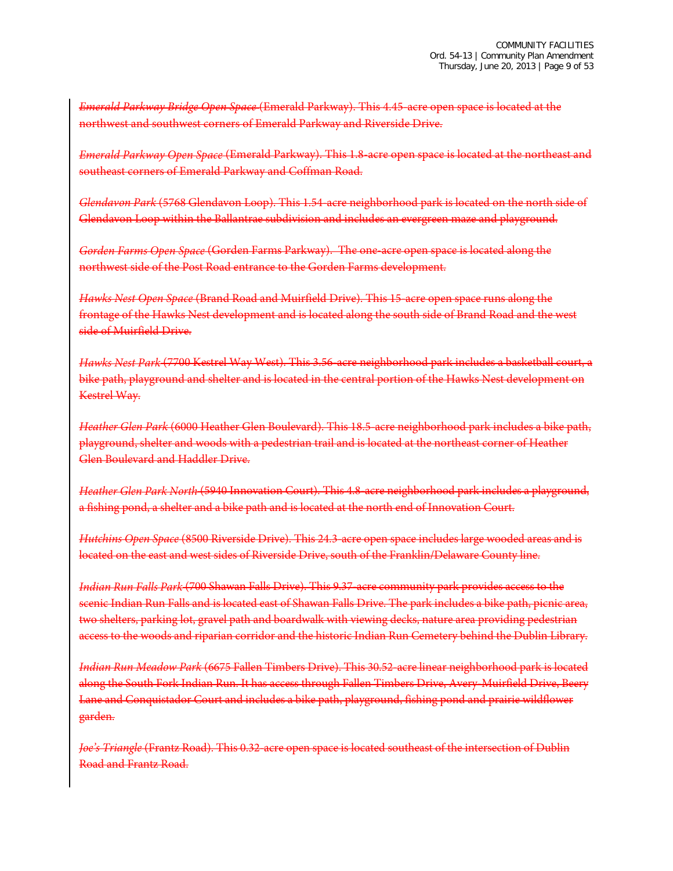*Emerald Parkway Bridge Open Space* (Emerald Parkway). This 4.45-acre open space is located at the northwest and southwest corners of Emerald Parkway and Riverside Drive.

*Emerald Parkway Open Space* (Emerald Parkway). This 1.8-acre open space is located at the northeast and southeast corners of Emerald Parkway and Coffman Road.

*Glendavon Park* (5768 Glendavon Loop). This 1.54-acre neighborhood park is located on the north side of Glendavon Loop within the Ballantrae subdivision and includes an evergreen maze and playground.

*Gorden Farms Open Space* (Gorden Farms Parkway). The one-acre open space is located along the northwest side of the Post Road entrance to the Gorden Farms development.

*Hawks Nest Open Space* (Brand Road and Muirfield Drive). This 15-acre open space runs along the frontage of the Hawks Nest development and is located along the south side of Brand Road and the west side of Muirfield Drive.

*Hawks Nest Park* (7700 Kestrel Way West). This 3.56-acre neighborhood park includes a basketball court, a bike path, playground and shelter and is located in the central portion of the Hawks Nest development on Kestrel Way.

*Heather Glen Park* (6000 Heather Glen Boulevard). This 18.5-acre neighborhood park includes a bike path, playground, shelter and woods with a pedestrian trail and is located at the northeast corner of Heather Glen Boulevard and Haddler Drive.

*Heather Glen Park North* (5940 Innovation Court). This 4.8-acre neighborhood park includes a playground, a fishing pond, a shelter and a bike path and is located at the north end of Innovation Court.

*Hutchins Open Space* (8500 Riverside Drive). This 24.3-acre open space includes large wooded areas and is located on the east and west sides of Riverside Drive, south of the Franklin/Delaware County line.

*Indian Run Falls Park* (700 Shawan Falls Drive). This 9.37-acre community park provides access to the scenic Indian Run Falls and is located east of Shawan Falls Drive. The park includes a bike path, picnic area, two shelters, parking lot, gravel path and boardwalk with viewing decks, nature area providing pedestrian access to the woods and riparian corridor and the historic Indian Run Cemetery behind the Dublin Library.

*Indian Run Meadow Park* (6675 Fallen Timbers Drive). This 30.52-acre linear neighborhood park is located along the South Fork Indian Run. It has access through Fallen Timbers Drive, Avery-Muirfield Drive, Beery Lane and Conquistador Court and includes a bike path, playground, fishing pond and prairie wildflower garden.

*Joe's Triangle* (Frantz Road). This 0.32-acre open space is located southeast of the intersection of Dublin Road and Frantz Road.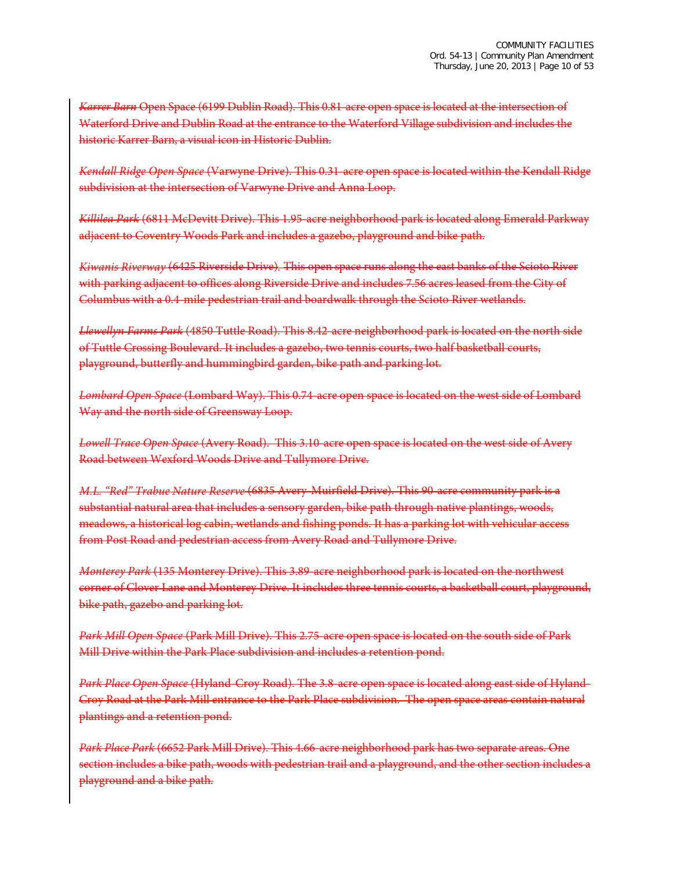*Karrer Barn* Open Space (6199 Dublin Road). This 0.81-acre open space is located at the intersection of Waterford Drive and Dublin Road at the entrance to the Waterford Village subdivision and includes the historic Karrer Barn, a visual icon in Historic Dublin.

*Kendall Ridge Open Space* (Varwyne Drive). This 0.31-acre open space is located within the Kendall Ridge subdivision at the intersection of Varwyne Drive and Anna Loop.

*Killilea Park* (6811 McDevitt Drive). This 1.95-acre neighborhood park is located along Emerald Parkway adjacent to Coventry Woods Park and includes a gazebo, playground and bike path.

*Kiwanis Riverway* (6425 Riverside Drive)*.* This open space runs along the east banks of the Scioto River with parking adjacent to offices along Riverside Drive and includes 7.56 acres leased from the City of Columbus with a 0.4-mile pedestrian trail and boardwalk through the Scioto River wetlands.

*Llewellyn Farms Park* (4850 Tuttle Road). This 8.42-acre neighborhood park is located on the north side of Tuttle Crossing Boulevard. It includes a gazebo, two tennis courts, two half basketball courts, playground, butterfly and hummingbird garden, bike path and parking lot.

*Lombard Open Space* (Lombard Way). This 0.74-acre open space is located on the west side of Lombard Way and the north side of Greensway Loop.

*Lowell Trace Open Space* (Avery Road). This 3.10-acre open space is located on the west side of Avery Road between Wexford Woods Drive and Tullymore Drive.

*M.L. "Red" Trabue Nature Reserve* (6835 Avery-Muirfield Drive). This 90-acre community park is a substantial natural area that includes a sensory garden, bike path through native plantings, woods, meadows, a historical log cabin, wetlands and fishing ponds. It has a parking lot with vehicular access from Post Road and pedestrian access from Avery Road and Tullymore Drive.

*Monterey Park* (135 Monterey Drive). This 3.89-acre neighborhood park is located on the northwest corner of Clover Lane and Monterey Drive. It includes three tennis courts, a basketball court, playground, bike path, gazebo and parking lot.

*Park Mill Open Space* (Park Mill Drive). This 2.75-acre open space is located on the south side of Park Mill Drive within the Park Place subdivision and includes a retention pond.

*Park Place Open Space* (Hyland-Croy Road). The 3.8-acre open space is located along east side of Hyland-Croy Road at the Park Mill entrance to the Park Place subdivision. The open space areas contain natural plantings and a retention pond.

*Park Place Park* (6652 Park Mill Drive). This 4.66-acre neighborhood park has two separate areas. One section includes a bike path, woods with pedestrian trail and a playground, and the other section includes a playground and a bike path.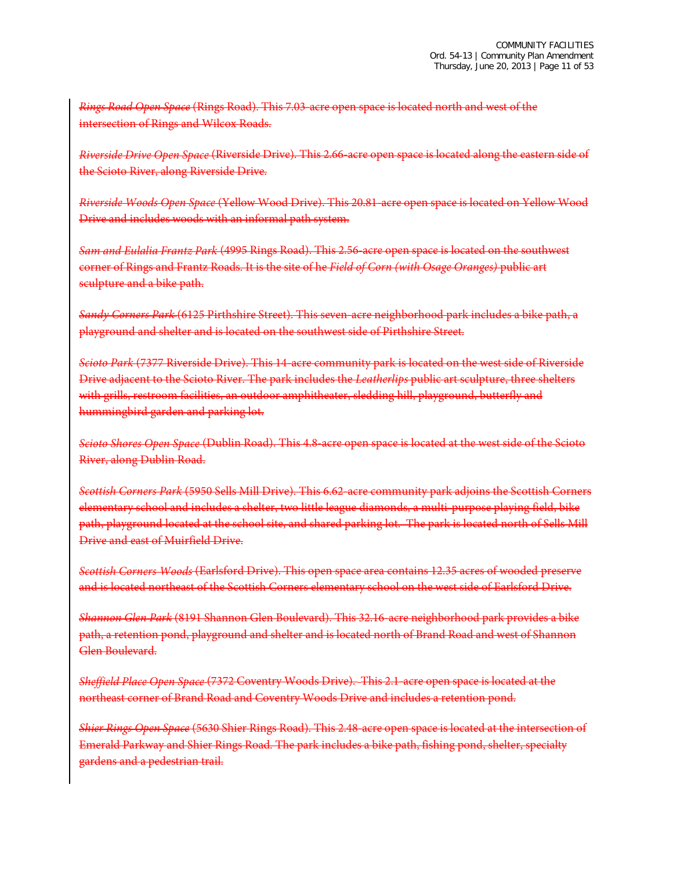*Rings Road Open Space* (Rings Road). This 7.03-acre open space is located north and west of the intersection of Rings and Wilcox Roads.

*Riverside Drive Open Space* (Riverside Drive). This 2.66-acre open space is located along the eastern side of the Scioto River, along Riverside Drive.

*Riverside Woods Open Space* (Yellow Wood Drive). This 20.81-acre open space is located on Yellow Wood Drive and includes woods with an informal path system.

*Sam and Eulalia Frantz Park* (4995 Rings Road). This 2.56-acre open space is located on the southwest corner of Rings and Frantz Roads. It is the site of he *Field of Corn (with Osage Oranges)* public art sculpture and a bike path.

*Sandy Corners Park* (6125 Pirthshire Street). This seven-acre neighborhood park includes a bike path, a playground and shelter and is located on the southwest side of Pirthshire Street.

*Scioto Park* (7377 Riverside Drive). This 14-acre community park is located on the west side of Riverside Drive adjacent to the Scioto River. The park includes the *Leatherlips* public art sculpture, three shelters with grills, restroom facilities, an outdoor amphitheater, sledding hill, playground, butterfly and hummingbird garden and parking lot.

*Scioto Shores Open Space* (Dublin Road). This 4.8-acre open space is located at the west side of the Scioto River, along Dublin Road.

*Scottish Corners Park* (5950 Sells Mill Drive). This 6.62-acre community park adjoins the Scottish Corners elementary school and includes a shelter, two little league diamonds, a multi-purpose playing field, bike path, playground located at the school site, and shared parking lot. The park is located north of Sells Mill Drive and east of Muirfield Drive.

*Scottish Corners Woods* (Earlsford Drive). This open space area contains 12.35 acres of wooded preserve and is located northeast of the Scottish Corners elementary school on the west side of Earlsford Drive.

*Shannon Glen Park* (8191 Shannon Glen Boulevard). This 32.16-acre neighborhood park provides a bike path, a retention pond, playground and shelter and is located north of Brand Road and west of Shannon Glen Boulevard.

*Sheffield Place Open Space* (7372 Coventry Woods Drive). This 2.1-acre open space is located at the northeast corner of Brand Road and Coventry Woods Drive and includes a retention pond.

*Shier Rings Open Space* (5630 Shier Rings Road). This 2.48-acre open space is located at the intersection of Emerald Parkway and Shier Rings Road. The park includes a bike path, fishing pond, shelter, specialty gardens and a pedestrian trail.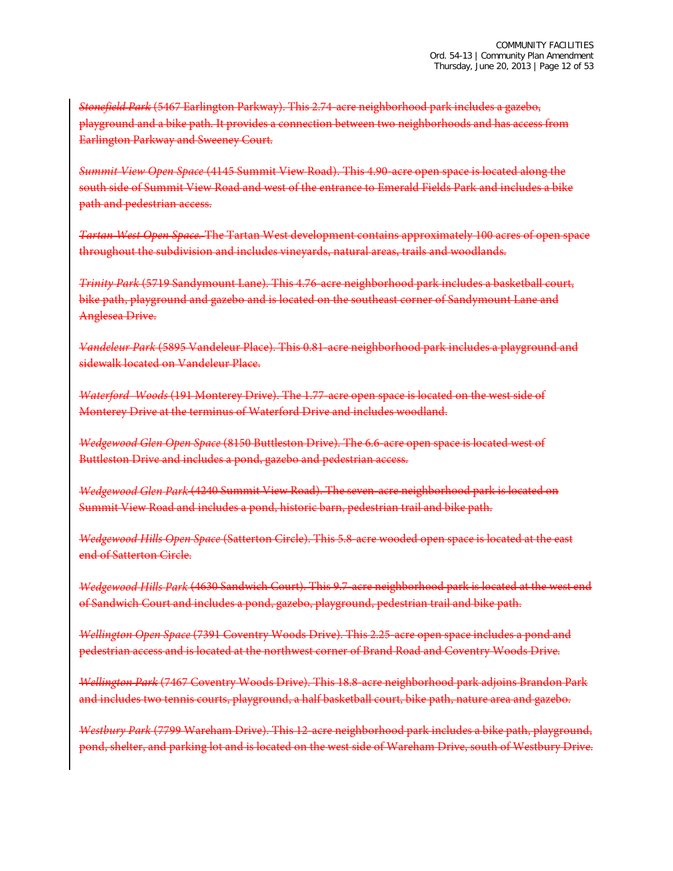*Stonefield Park* (5467 Earlington Parkway). This 2.74-acre neighborhood park includes a gazebo, playground and a bike path. It provides a connection between two neighborhoods and has access from Earlington Parkway and Sweeney Court.

*Summit View Open Space* (4145 Summit View Road). This 4.90-acre open space is located along the south side of Summit View Road and west of the entrance to Emerald Fields Park and includes a bike path and pedestrian access.

*Tartan West Open Space.* The Tartan West development contains approximately 100 acres of open space throughout the subdivision and includes vineyards, natural areas, trails and woodlands.

*Trinity Park* (5719 Sandymount Lane). This 4.76-acre neighborhood park includes a basketball court, bike path, playground and gazebo and is located on the southeast corner of Sandymount Lane and Anglesea Drive.

*Vandeleur Park* (5895 Vandeleur Place). This 0.81-acre neighborhood park includes a playground and sidewalk located on Vandeleur Place.

*Waterford Woods* (191 Monterey Drive). The 1.77-acre open space is located on the west side of Monterey Drive at the terminus of Waterford Drive and includes woodland.

*Wedgewood Glen Open Space* (8150 Buttleston Drive). The 6.6-acre open space is located west of Buttleston Drive and includes a pond, gazebo and pedestrian access.

*Wedgewood Glen Park* (4240 Summit View Road). The seven-acre neighborhood park is located on Summit View Road and includes a pond, historic barn, pedestrian trail and bike path.

*Wedgewood Hills Open Space* (Satterton Circle). This 5.8-acre wooded open space is located at the east end of Satterton Circle.

*Wedgewood Hills Park* (4630 Sandwich Court). This 9.7-acre neighborhood park is located at the west end of Sandwich Court and includes a pond, gazebo, playground, pedestrian trail and bike path.

*Wellington Open Space* (7391 Coventry Woods Drive). This 2.25-acre open space includes a pond and pedestrian access and is located at the northwest corner of Brand Road and Coventry Woods Drive.

*Wellington Park* (7467 Coventry Woods Drive). This 18.8-acre neighborhood park adjoins Brandon Park and includes two tennis courts, playground, a half basketball court, bike path, nature area and gazebo.

*Westbury Park* (7799 Wareham Drive). This 12-acre neighborhood park includes a bike path, playground, pond, shelter, and parking lot and is located on the west side of Wareham Drive, south of Westbury Drive.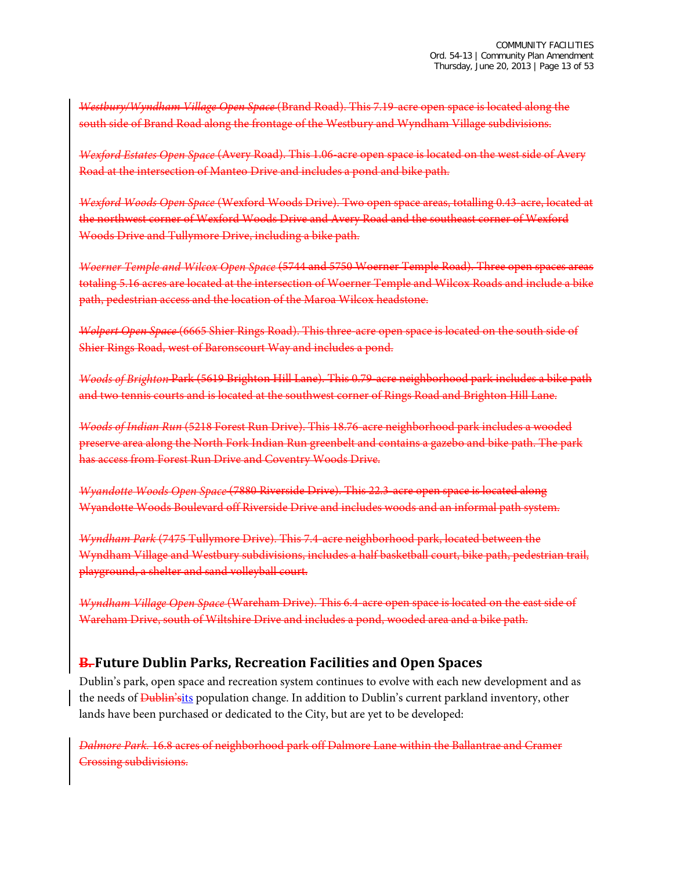*Westbury/Wyndham Village Open Space* (Brand Road). This 7.19-acre open space is located along the south side of Brand Road along the frontage of the Westbury and Wyndham Village subdivisions.

*Wexford Estates Open Space* (Avery Road). This 1.06-acre open space is located on the west side of Avery Road at the intersection of Manteo Drive and includes a pond and bike path.

*Wexford Woods Open Space* (Wexford Woods Drive). Two open space areas, totalling 0.43-acre, located at the northwest corner of Wexford Woods Drive and Avery Road and the southeast corner of Wexford Woods Drive and Tullymore Drive, including a bike path.

*Woerner Temple and Wilcox Open Space* (5744 and 5750 Woerner Temple Road). Three open spaces areas totaling 5.16 acres are located at the intersection of Woerner Temple and Wilcox Roads and include a bike path, pedestrian access and the location of the Maroa Wilcox headstone.

*Wolpert Open Space* (6665 Shier Rings Road). This three-acre open space is located on the south side of Shier Rings Road, west of Baronscourt Way and includes a pond.

*Woods of Brighton* Park (5619 Brighton Hill Lane). This 0.79-acre neighborhood park includes a bike path and two tennis courts and is located at the southwest corner of Rings Road and Brighton Hill Lane.

*Woods of Indian Run* (5218 Forest Run Drive). This 18.76-acre neighborhood park includes a wooded preserve area along the North Fork Indian Run greenbelt and contains a gazebo and bike path. The park has access from Forest Run Drive and Coventry Woods Drive.

*Wyandotte Woods Open Space* (7880 Riverside Drive). This 22.3-acre open space is located along Wyandotte Woods Boulevard off Riverside Drive and includes woods and an informal path system.

*Wyndham Park* (7475 Tullymore Drive). This 7.4-acre neighborhood park, located between the Wyndham Village and Westbury subdivisions, includes a half basketball court, bike path, pedestrian trail, playground, a shelter and sand volleyball court.

*Wyndham Village Open Space* (Wareham Drive). This 6.4-acre open space is located on the east side of Wareham Drive, south of Wiltshire Drive and includes a pond, wooded area and a bike path.

## **B. Future Dublin Parks, Recreation Facilities and Open Spaces**

Dublin's park, open space and recreation system continues to evolve with each new development and as the needs of <del>Dublin's</del>its population change. In addition to Dublin's current parkland inventory, other lands have been purchased or dedicated to the City, but are yet to be developed:

*Dalmore Park.* 16.8 acres of neighborhood park off Dalmore Lane within the Ballantrae and Cramer Crossing subdivisions.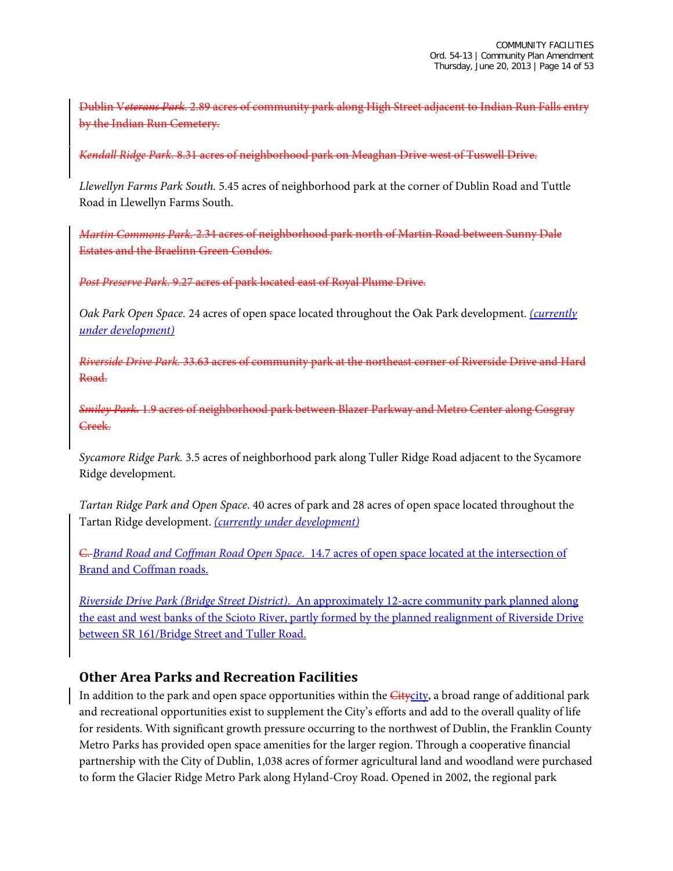Dublin V*eterans Park*. 2.89 acres of community park along High Street adjacent to Indian Run Falls entry by the Indian Run Cemetery.

*Kendall Ridge Park*. 8.31 acres of neighborhood park on Meaghan Drive west of Tuswell Drive.

*Llewellyn Farms Park South.* 5.45 acres of neighborhood park at the corner of Dublin Road and Tuttle Road in Llewellyn Farms South.

*Martin Commons Park.* 2.34 acres of neighborhood park north of Martin Road between Sunny Dale Estates and the Braelinn Green Condos.

*Post Preserve Park*. 9.27 acres of park located east of Royal Plume Drive.

*Oak Park Open Space.* 24 acres of open space located throughout the Oak Park development. *(currently under development)*

*Riverside Drive Park.* 33.63 acres of community park at the northeast corner of Riverside Drive and Hard Road.

*Smiley Park.* 1.9 acres of neighborhood park between Blazer Parkway and Metro Center along Cosgray Creek.

*Sycamore Ridge Park.* 3.5 acres of neighborhood park along Tuller Ridge Road adjacent to the Sycamore Ridge development.

*Tartan Ridge Park and Open Space*. 40 acres of park and 28 acres of open space located throughout the Tartan Ridge development. *(currently under development)*

C. *Brand Road and Coffman Road Open Space.* 14.7 acres of open space located at the intersection of Brand and Coffman roads.

*Riverside Drive Park (Bridge Street District)*. An approximately 12-acre community park planned along the east and west banks of the Scioto River, partly formed by the planned realignment of Riverside Drive between SR 161/Bridge Street and Tuller Road.

## **Other Area Parks and Recreation Facilities**

In addition to the park and open space opportunities within the *Citycity*, a broad range of additional park and recreational opportunities exist to supplement the City's efforts and add to the overall quality of life for residents. With significant growth pressure occurring to the northwest of Dublin, the Franklin County Metro Parks has provided open space amenities for the larger region. Through a cooperative financial partnership with the City of Dublin, 1,038 acres of former agricultural land and woodland were purchased to form the Glacier Ridge Metro Park along Hyland-Croy Road. Opened in 2002, the regional park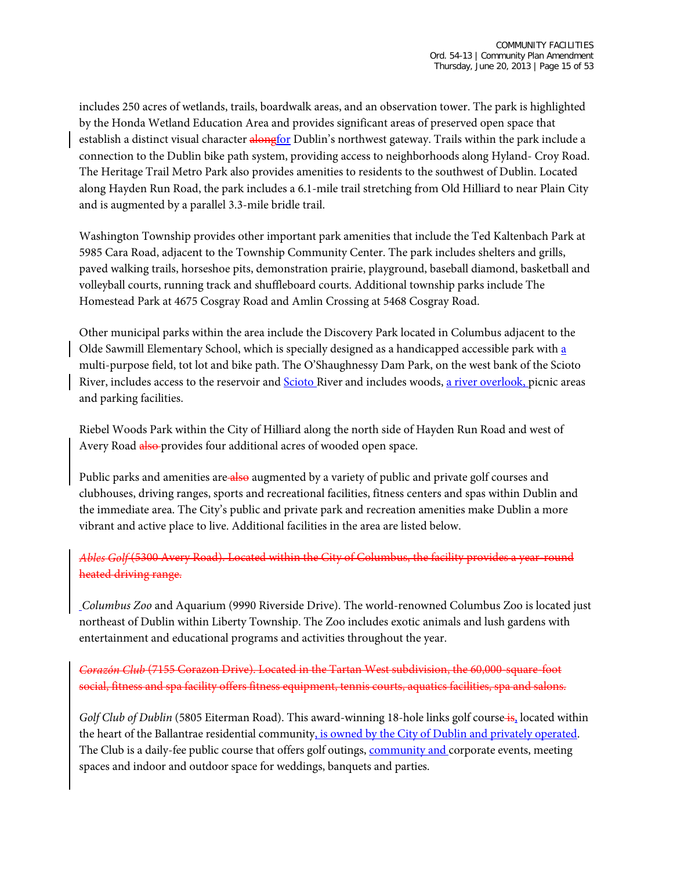includes 250 acres of wetlands, trails, boardwalk areas, and an observation tower. The park is highlighted by the Honda Wetland Education Area and provides significant areas of preserved open space that establish a distinct visual character alongfor Dublin's northwest gateway. Trails within the park include a connection to the Dublin bike path system, providing access to neighborhoods along Hyland- Croy Road. The Heritage Trail Metro Park also provides amenities to residents to the southwest of Dublin. Located along Hayden Run Road, the park includes a 6.1-mile trail stretching from Old Hilliard to near Plain City and is augmented by a parallel 3.3-mile bridle trail.

Washington Township provides other important park amenities that include the Ted Kaltenbach Park at 5985 Cara Road, adjacent to the Township Community Center. The park includes shelters and grills, paved walking trails, horseshoe pits, demonstration prairie, playground, baseball diamond, basketball and volleyball courts, running track and shuffleboard courts. Additional township parks include The Homestead Park at 4675 Cosgray Road and Amlin Crossing at 5468 Cosgray Road.

Other municipal parks within the area include the Discovery Park located in Columbus adjacent to the Olde Sawmill Elementary School, which is specially designed as a handicapped accessible park with a multi-purpose field, tot lot and bike path. The O'Shaughnessy Dam Park, on the west bank of the Scioto River, includes access to the reservoir and Scioto River and includes woods, a river overlook, picnic areas and parking facilities.

Riebel Woods Park within the City of Hilliard along the north side of Hayden Run Road and west of Avery Road also provides four additional acres of wooded open space.

Public parks and amenities are also augmented by a variety of public and private golf courses and clubhouses, driving ranges, sports and recreational facilities, fitness centers and spas within Dublin and the immediate area. The City's public and private park and recreation amenities make Dublin a more vibrant and active place to live. Additional facilities in the area are listed below.

*Ables Golf* (5300 Avery Road). Located within the City of Columbus, the facility provides a year-round heated driving range.

*Columbus Zoo* and Aquarium (9990 Riverside Drive). The world-renowned Columbus Zoo is located just northeast of Dublin within Liberty Township. The Zoo includes exotic animals and lush gardens with entertainment and educational programs and activities throughout the year.

*Corazón Club* (7155 Corazon Drive). Located in the Tartan West subdivision, the 60,000-square-foot social, fitness and spa facility offers fitness equipment, tennis courts, aquatics facilities, spa and salons.

*Golf Club of Dublin* (5805 Eiterman Road). This award-winning 18-hole links golf course is, located within the heart of the Ballantrae residential community, is owned by the City of Dublin and privately operated. The Club is a daily-fee public course that offers golf outings, community and corporate events, meeting spaces and indoor and outdoor space for weddings, banquets and parties.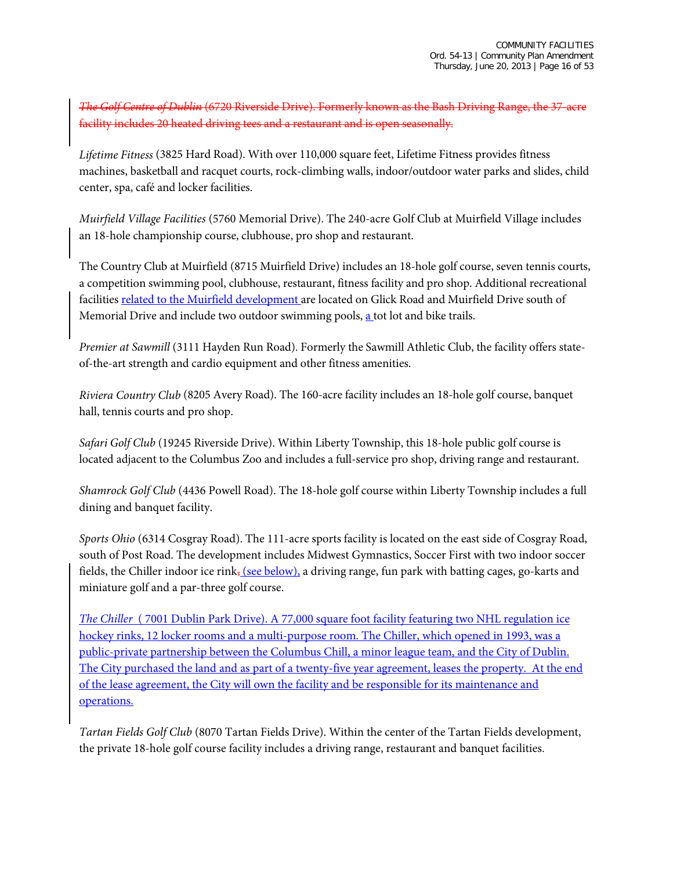*The Golf Centre of Dublin* (6720 Riverside Drive). Formerly known as the Bash Driving Range, the 37-acre facility includes 20 heated driving tees and a restaurant and is open seasonally.

*Lifetime Fitness* (3825 Hard Road). With over 110,000 square feet, Lifetime Fitness provides fitness machines, basketball and racquet courts, rock-climbing walls, indoor/outdoor water parks and slides, child center, spa, café and locker facilities.

*Muirfield Village Facilities* (5760 Memorial Drive). The 240-acre Golf Club at Muirfield Village includes an 18-hole championship course, clubhouse, pro shop and restaurant.

The Country Club at Muirfield (8715 Muirfield Drive) includes an 18-hole golf course, seven tennis courts, a competition swimming pool, clubhouse, restaurant, fitness facility and pro shop. Additional recreational facilities related to the Muirfield development are located on Glick Road and Muirfield Drive south of Memorial Drive and include two outdoor swimming pools, a tot lot and bike trails.

*Premier at Sawmill* (3111 Hayden Run Road). Formerly the Sawmill Athletic Club, the facility offers stateof-the-art strength and cardio equipment and other fitness amenities.

*Riviera Country Club* (8205 Avery Road). The 160-acre facility includes an 18-hole golf course, banquet hall, tennis courts and pro shop.

*Safari Golf Club* (19245 Riverside Drive). Within Liberty Township, this 18-hole public golf course is located adjacent to the Columbus Zoo and includes a full-service pro shop, driving range and restaurant.

*Shamrock Golf Club* (4436 Powell Road). The 18-hole golf course within Liberty Township includes a full dining and banquet facility.

*Sports Ohio* (6314 Cosgray Road). The 111-acre sports facility is located on the east side of Cosgray Road, south of Post Road. The development includes Midwest Gymnastics, Soccer First with two indoor soccer fields, the Chiller indoor ice rink, (see below), a driving range, fun park with batting cages, go-karts and miniature golf and a par-three golf course.

*The Chiller* ( 7001 Dublin Park Drive). A 77,000 square foot facility featuring two NHL regulation ice hockey rinks, 12 locker rooms and a multi-purpose room. The Chiller, which opened in 1993, was a public-private partnership between the Columbus Chill, a minor league team, and the City of Dublin. The City purchased the land and as part of a twenty-five year agreement, leases the property. At the end of the lease agreement, the City will own the facility and be responsible for its maintenance and operations.

*Tartan Fields Golf Club* (8070 Tartan Fields Drive). Within the center of the Tartan Fields development, the private 18-hole golf course facility includes a driving range, restaurant and banquet facilities.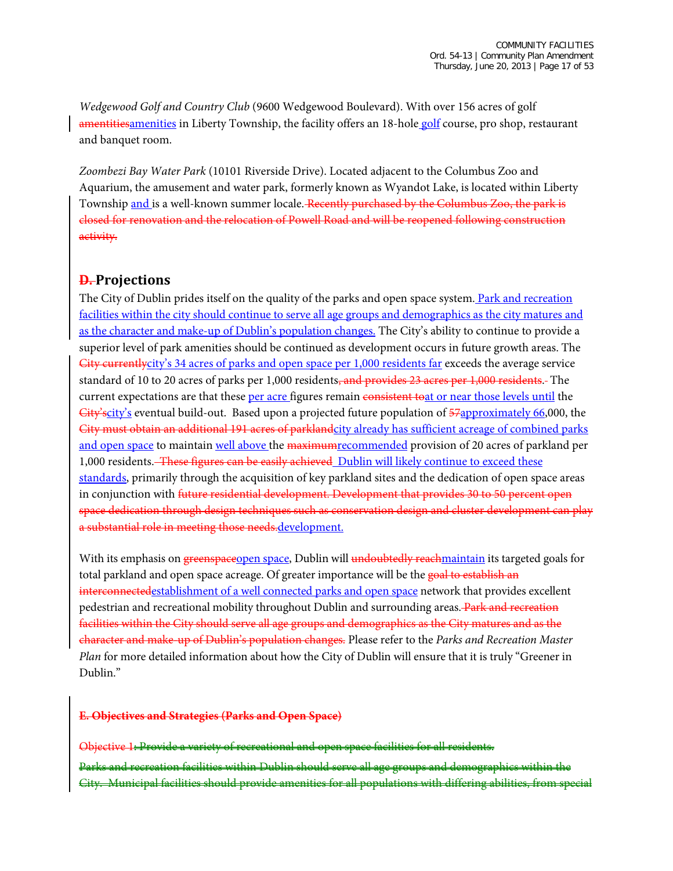*Wedgewood Golf and Country Club* (9600 Wedgewood Boulevard). With over 156 acres of golf amentitiesamenities in Liberty Township, the facility offers an 18-hole golf course, pro shop, restaurant and banquet room.

*Zoombezi Bay Water Park* (10101 Riverside Drive). Located adjacent to the Columbus Zoo and Aquarium, the amusement and water park, formerly known as Wyandot Lake, is located within Liberty Township and is a well-known summer locale. Recently purchased by the Columbus Zoo, the park is closed for renovation and the relocation of Powell Road and will be reopened following construction activity.

### **D. Projections**

The City of Dublin prides itself on the quality of the parks and open space system. Park and recreation facilities within the city should continue to serve all age groups and demographics as the city matures and as the character and make-up of Dublin's population changes. The City's ability to continue to provide a superior level of park amenities should be continued as development occurs in future growth areas. The City currentlycity's 34 acres of parks and open space per 1,000 residents far exceeds the average service standard of 10 to 20 acres of parks per 1,000 residents, and provides 23 acres per 1,000 residents. The current expectations are that these per acre figures remain consistent toat or near those levels until the  $City's city's$  eventual build-out. Based upon a projected future population of  $57a$  pproximately 66,000, the City must obtain an additional 191 acres of parklandcity already has sufficient acreage of combined parks and open space to maintain well above the maximum recommended provision of 20 acres of parkland per 1,000 residents. These figures can be easily achieved Dublin will likely continue to exceed these standards, primarily through the acquisition of key parkland sites and the dedication of open space areas in conjunction with future residential development. Development that provides 30 to 50 percent open space dedication through design techniques such as conservation design and cluster development can play a substantial role in meeting those needs.development.

With its emphasis on greenspaceopen space, Dublin will undoubtedly reachmaintain its targeted goals for total parkland and open space acreage. Of greater importance will be the goal to establish an interconnectedestablishment of a well connected parks and open space network that provides excellent pedestrian and recreational mobility throughout Dublin and surrounding areas. Park and recreation facilities within the City should serve all age groups and demographics as the City matures and as the character and make-up of Dublin's population changes. Please refer to the *Parks and Recreation Master Plan* for more detailed information about how the City of Dublin will ensure that it is truly "Greener in Dublin."

#### **E. Objectives and Strategies (Parks and Open Space)**

Objective 1: Provide a variety of recreational and open space facilities for all residents. Parks and recreation facilities within Dublin should serve all age groups and demographics within the City. Municipal facilities should provide amenities for all populations with differing abilities, from special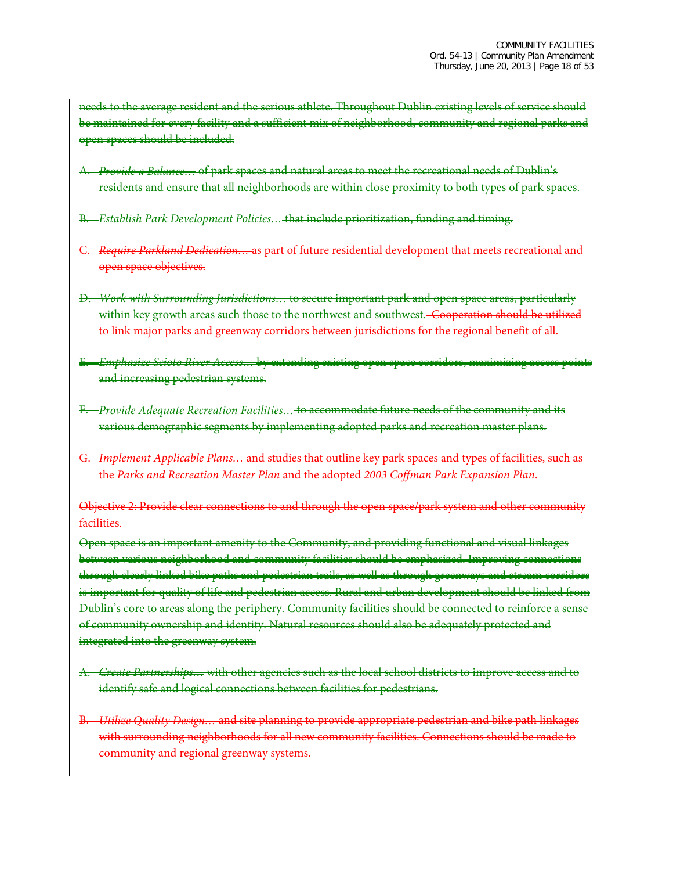needs to the average resident and the serious athlete. Throughout Dublin existing levels of service should be maintained for every facility and a sufficient mix of neighborhood, community and regional parks and open spaces should be included.

- A. *Provide a Balance…* of park spaces and natural areas to meet the recreational needs of Dublin's residents and ensure that all neighborhoods are within close proximity to both types of park spaces.
- B. *Establish Park Development Policies…* that include prioritization, funding and timing.
- C. *Require Parkland Dedication…* as part of future residential development that meets recreational and open space objectives.
- D. *Work with Surrounding Jurisdictions…* to secure important park and open space areas, particularly within key growth areas such those to the northwest and southwest. Cooperation should be utilized to link major parks and greenway corridors between jurisdictions for the regional benefit of all.
- E. *Emphasize Scioto River Access…* by extending existing open space corridors, maximizing access points and increasing pedestrian systems.
- F. *Provide Adequate Recreation Facilities…* to accommodate future needs of the community and its various demographic segments by implementing adopted parks and recreation master plans.
- G. *Implement Applicable Plans…* and studies that outline key park spaces and types of facilities, such as the *Parks and Recreation Master Plan* and the adopted *2003 Coffman Park Expansion Plan*.

Objective 2: Provide clear connections to and through the open space/park system and other community facilities.

Open space is an important amenity to the Community, and providing functional and visual linkages between various neighborhood and community facilities should be emphasized. Improving connections through clearly linked bike paths and pedestrian trails, as well as through greenways and stream corridors is important for quality of life and pedestrian access. Rural and urban development should be linked from Dublin's core to areas along the periphery. Community facilities should be connected to reinforce a sense of community ownership and identity. Natural resources should also be adequately protected and integrated into the greenway system.

- A. *Create Partnerships…* with other agencies such as the local school districts to improve access and to identify safe and logical connections between facilities for pedestrians.
- B. *Utilize Quality Design…* and site planning to provide appropriate pedestrian and bike path linkages with surrounding neighborhoods for all new community facilities. Connections should be made to community and regional greenway systems.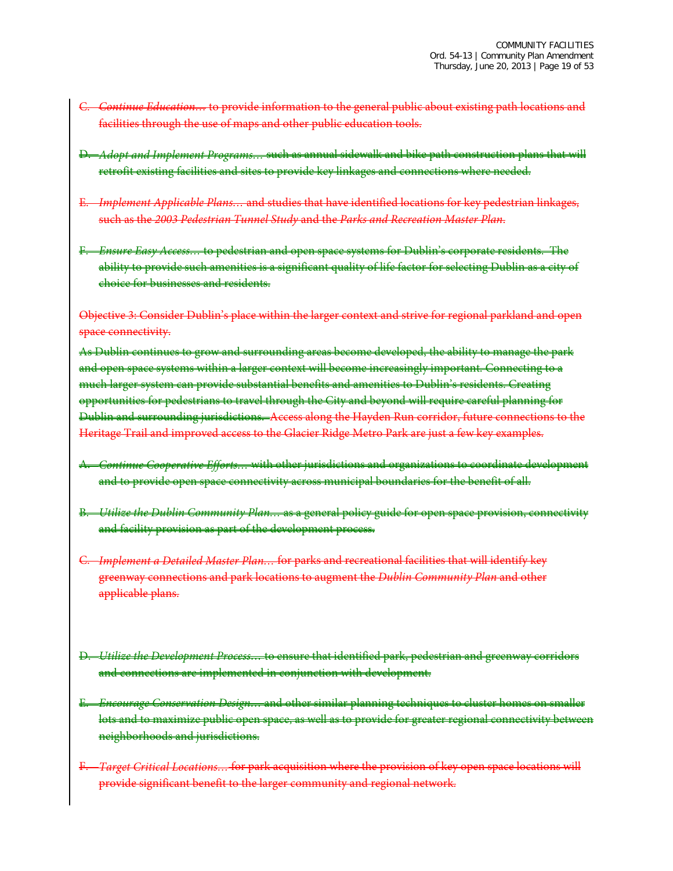- Continue Education... to provide information to the general public about existing path locations and facilities through the use of maps and other public education tools.
- D. *Adopt and Implement Programs…* such as annual sidewalk and bike path construction plans that will retrofit existing facilities and sites to provide key linkages and connections where needed.
- E. *Implement Applicable Plans…* and studies that have identified locations for key pedestrian linkages, such as the *2003 Pedestrian Tunnel Study* and the *Parks and Recreation Master Plan*.
- F. *Ensure Easy Access…* to pedestrian and open space systems for Dublin's corporate residents. The ability to provide such amenities is a significant quality of life factor for selecting Dublin as a city of choice for businesses and residents.

Objective 3: Consider Dublin's place within the larger context and strive for regional parkland and open space connectivity.

As Dublin continues to grow and surrounding areas become developed, the ability to manage the park and open space systems within a larger context will become increasingly important. Connecting to a much larger system can provide substantial benefits and amenities to Dublin's residents. Creating opportunities for pedestrians to travel through the City and beyond will require careful planning for Dublin and surrounding jurisdictions. Access along the Hayden Run corridor, future connections to the Heritage Trail and improved access to the Glacier Ridge Metro Park are just a few key examples.

- A. *Continue Cooperative Efforts…* with other jurisdictions and organizations to coordinate development and to provide open space connectivity across municipal boundaries for the benefit of all.
- B. *Utilize the Dublin Community Plan…* as a general policy guide for open space provision, connectivity and facility provision as part of the development process.
- C. *Implement a Detailed Master Plan…* for parks and recreational facilities that will identify key greenway connections and park locations to augment the *Dublin Community Plan* and other applicable plans.
- D. *Utilize the Development Process…* to ensure that identified park, pedestrian and greenway corridors and connections are implemented in conjunction with development.
- E. *Encourage Conservation Design…* and other similar planning techniques to cluster homes on smaller lots and to maximize public open space, as well as to provide for greater regional connectivity between neighborhoods and jurisdictions.
- F. *Target Critical Locations…* for park acquisition where the provision of key open space locations will provide significant benefit to the larger community and regional network.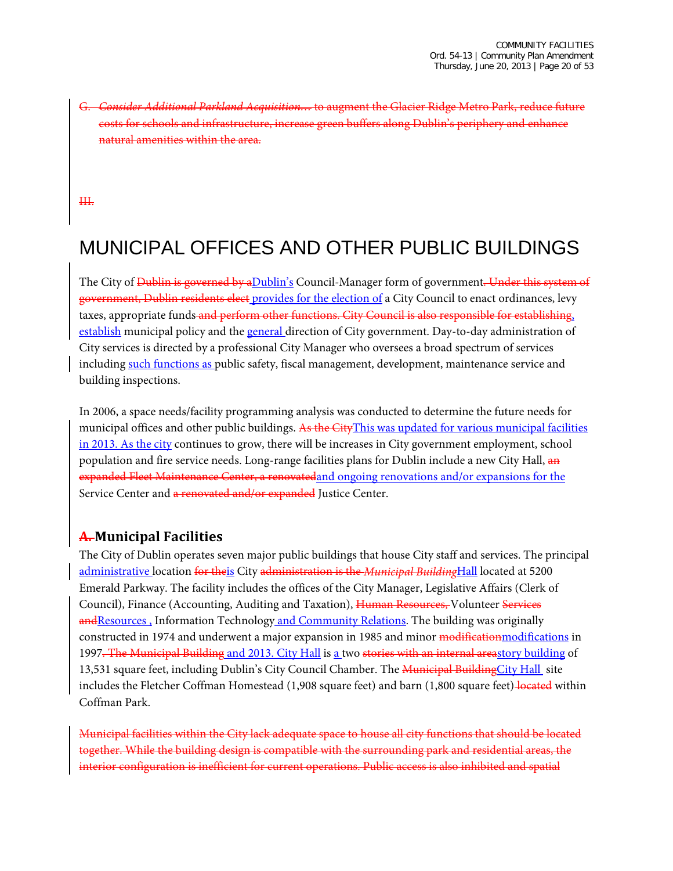G. *Consider Additional Parkland Acquisition…* to augment the Glacier Ridge Metro Park, reduce future for schools and infrastructure, increase green buffers along Dublin's periphery ural amenities within the area.

III.

# MUNICIPAL OFFICES AND OTHER PUBLIC BUILDINGS

The City of <del>Dublin is governed by aDublin's</del> Council-Manager form of government. Under this system of government, Dublin residents elect provides for the election of a City Council to enact ordinances, levy taxes, appropriate funds and perform other functions. City Council is also responsible for establishing, establish municipal policy and the general direction of City government. Day-to-day administration of City services is directed by a professional City Manager who oversees a broad spectrum of services including such functions as public safety, fiscal management, development, maintenance service and building inspections.

In 2006, a space needs/facility programming analysis was conducted to determine the future needs for municipal offices and other public buildings. As the CityThis was updated for various municipal facilities in 2013. As the city continues to grow, there will be increases in City government employment, school population and fire service needs. Long-range facilities plans for Dublin include a new City Hall, and expanded Fleet Maintenance Center, a renovatedand ongoing renovations and/or expansions for the Service Center and a renovated and/or expanded Justice Center.

## **A. Municipal Facilities**

The City of Dublin operates seven major public buildings that house City staff and services. The principal administrative location for theis City administration is the *Municipal Building*Hall located at 5200 Emerald Parkway. The facility includes the offices of the City Manager, Legislative Affairs (Clerk of Council), Finance (Accounting, Auditing and Taxation), Human Resources, Volunteer Services and Resources, Information Technology and Community Relations. The building was originally constructed in 1974 and underwent a major expansion in 1985 and minor modificationmodifications in 1997<del>. The Municipal Building</del> and 2013. City Hall is a two stories with an internal areastory building of 13,531 square feet, including Dublin's City Council Chamber. The Municipal BuildingCity Hall site includes the Fletcher Coffman Homestead (1,908 square feet) and barn (1,800 square feet) located within Coffman Park.

Municipal facilities within the City lack adequate space to house all city functions that should be located together. While the building design is compatible with the surrounding park and residential areas, the interior configuration is inefficient for current operations. Public access is also inhibited and spatial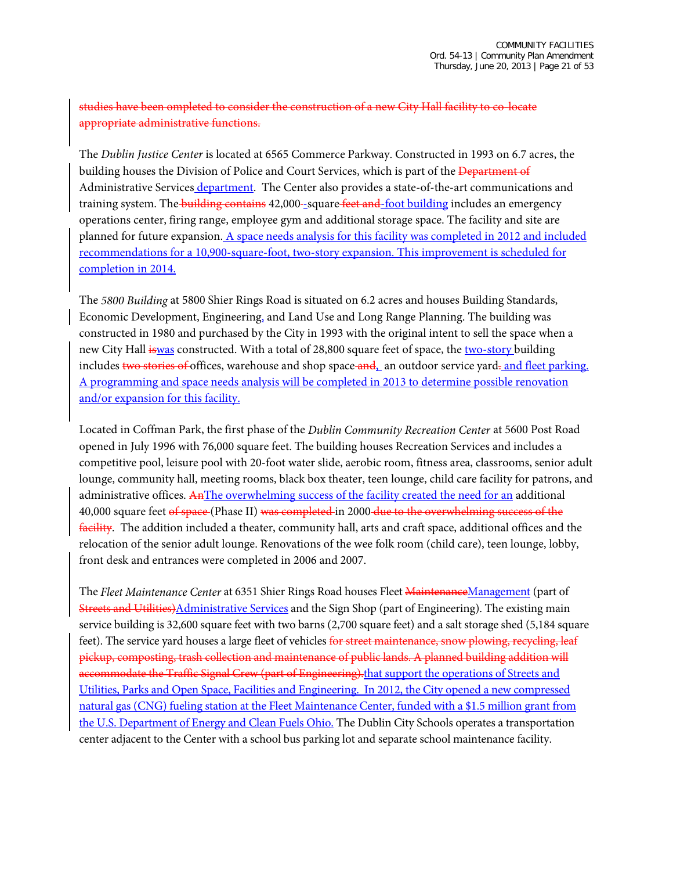### studies have been ompleted to consider the construction of a new City Hall facility to co-locate appropriate administrative functions.

The *Dublin Justice Center* is located at 6565 Commerce Parkway. Constructed in 1993 on 6.7 acres, the building houses the Division of Police and Court Services, which is part of the <del>Department of</del> Administrative Services department. The Center also provides a state-of-the-art communications and training system. The **building contains** 42,000-square feet and foot building includes an emergency operations center, firing range, employee gym and additional storage space. The facility and site are planned for future expansion. A space needs analysis for this facility was completed in 2012 and included recommendations for a 10,900-square-foot, two-story expansion. This improvement is scheduled for completion in 2014.

The *5800 Building* at 5800 Shier Rings Road is situated on 6.2 acres and houses Building Standards, Economic Development, Engineering, and Land Use and Long Range Planning. The building was constructed in 1980 and purchased by the City in 1993 with the original intent to sell the space when a new City Hall iswas constructed. With a total of 28,800 square feet of space, the two-story building includes two stories of offices, warehouse and shop space and, an outdoor service yard, and fleet parking. A programming and space needs analysis will be completed in 2013 to determine possible renovation and/or expansion for this facility.

Located in Coffman Park, the first phase of the *Dublin Community Recreation Center* at 5600 Post Road opened in July 1996 with 76,000 square feet. The building houses Recreation Services and includes a competitive pool, leisure pool with 20-foot water slide, aerobic room, fitness area, classrooms, senior adult lounge, community hall, meeting rooms, black box theater, teen lounge, child care facility for patrons, and administrative offices. AnThe overwhelming success of the facility created the need for an additional 40,000 square feet of space (Phase II) was completed in 2000 due to the overwhelming success of the facility. The addition included a theater, community hall, arts and craft space, additional offices and the relocation of the senior adult lounge. Renovations of the wee folk room (child care), teen lounge, lobby, front desk and entrances were completed in 2006 and 2007.

The *Fleet Maintenance Center* at 6351 Shier Rings Road houses Fleet MaintenanceManagement (part of Streets and Utilities)Administrative Services and the Sign Shop (part of Engineering). The existing main service building is 32,600 square feet with two barns (2,700 square feet) and a salt storage shed (5,184 square feet). The service yard houses a large fleet of vehicles for street maintenance, snow plowing, recycling, leaf pickup, composting, trash collection and maintenance of public lands. A planned building addition will accommodate the Traffic Signal Crew (part of Engineering). that support the operations of Streets and Utilities, Parks and Open Space, Facilities and Engineering. In 2012, the City opened a new compressed natural gas (CNG) fueling station at the Fleet Maintenance Center, funded with a \$1.5 million grant from the U.S. Department of Energy and Clean Fuels Ohio. The Dublin City Schools operates a transportation center adjacent to the Center with a school bus parking lot and separate school maintenance facility.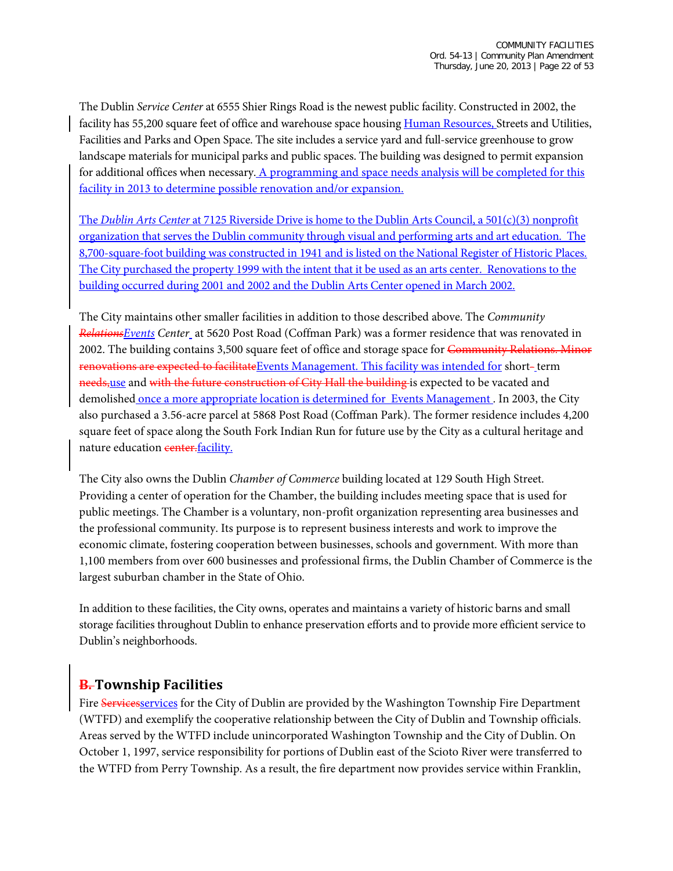The Dublin *Service Center* at 6555 Shier Rings Road is the newest public facility. Constructed in 2002, the facility has 55,200 square feet of office and warehouse space housing Human Resources, Streets and Utilities, Facilities and Parks and Open Space. The site includes a service yard and full-service greenhouse to grow landscape materials for municipal parks and public spaces. The building was designed to permit expansion for additional offices when necessary. A programming and space needs analysis will be completed for this facility in 2013 to determine possible renovation and/or expansion.

The *Dublin Arts Center* at 7125 Riverside Drive is home to the Dublin Arts Council, a 501(c)(3) nonprofit organization that serves the Dublin community through visual and performing arts and art education. The 8,700-square-foot building was constructed in 1941 and is listed on the National Register of Historic Places. The City purchased the property 1999 with the intent that it be used as an arts center. Renovations to the building occurred during 2001 and 2002 and the Dublin Arts Center opened in March 2002.

The City maintains other smaller facilities in addition to those described above. The *Community RelationsEvents Center* at 5620 Post Road (Coffman Park) was a former residence that was renovated in 2002. The building contains 3,500 square feet of office and storage space for Community Relations. Minor renovations are expected to facilitateEvents Management. This facility was intended for short-term needs, use and with the future construction of City Hall the building is expected to be vacated and demolished once a more appropriate location is determined for Events Management. In 2003, the City also purchased a 3.56-acre parcel at 5868 Post Road (Coffman Park). The former residence includes 4,200 square feet of space along the South Fork Indian Run for future use by the City as a cultural heritage and nature education center.facility.

The City also owns the Dublin *Chamber of Commerce* building located at 129 South High Street. Providing a center of operation for the Chamber, the building includes meeting space that is used for public meetings. The Chamber is a voluntary, non-profit organization representing area businesses and the professional community. Its purpose is to represent business interests and work to improve the economic climate, fostering cooperation between businesses, schools and government. With more than 1,100 members from over 600 businesses and professional firms, the Dublin Chamber of Commerce is the largest suburban chamber in the State of Ohio.

In addition to these facilities, the City owns, operates and maintains a variety of historic barns and small storage facilities throughout Dublin to enhance preservation efforts and to provide more efficient service to Dublin's neighborhoods.

## **B. Township Facilities**

Fire Servicesservices for the City of Dublin are provided by the Washington Township Fire Department (WTFD) and exemplify the cooperative relationship between the City of Dublin and Township officials. Areas served by the WTFD include unincorporated Washington Township and the City of Dublin. On October 1, 1997, service responsibility for portions of Dublin east of the Scioto River were transferred to the WTFD from Perry Township. As a result, the fire department now provides service within Franklin,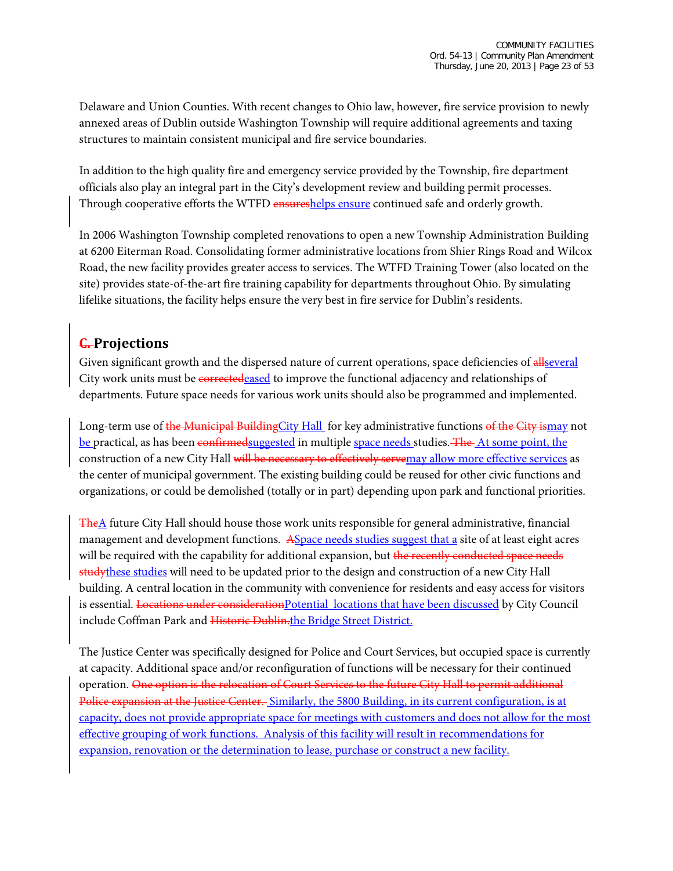Delaware and Union Counties. With recent changes to Ohio law, however, fire service provision to newly annexed areas of Dublin outside Washington Township will require additional agreements and taxing structures to maintain consistent municipal and fire service boundaries.

In addition to the high quality fire and emergency service provided by the Township, fire department officials also play an integral part in the City's development review and building permit processes. Through cooperative efforts the WTFD ensureshelps ensure continued safe and orderly growth.

In 2006 Washington Township completed renovations to open a new Township Administration Building at 6200 Eiterman Road. Consolidating former administrative locations from Shier Rings Road and Wilcox Road, the new facility provides greater access to services. The WTFD Training Tower (also located on the site) provides state-of-the-art fire training capability for departments throughout Ohio. By simulating lifelike situations, the facility helps ensure the very best in fire service for Dublin's residents.

## **C. Projections**

Given significant growth and the dispersed nature of current operations, space deficiencies of all several City work units must be correctedeased to improve the functional adjacency and relationships of departments. Future space needs for various work units should also be programmed and implemented.

Long-term use of the Municipal BuildingCity Hall for key administrative functions of the City ismay not be practical, as has been confirmedsuggested in multiple space needs studies. The At some point, the construction of a new City Hall will be necessary to effectively servemay allow more effective services as the center of municipal government. The existing building could be reused for other civic functions and organizations, or could be demolished (totally or in part) depending upon park and functional priorities.

 $T$ he $\Delta$  future City Hall should house those work units responsible for general administrative, financial management and development functions. ASpace needs studies suggest that a site of at least eight acres will be required with the capability for additional expansion, but the recently conducted space needs study these studies will need to be updated prior to the design and construction of a new City Hall building. A central location in the community with convenience for residents and easy access for visitors is essential. Locations under considerationPotential locations that have been discussed by City Council include Coffman Park and Historic Dublin.the Bridge Street District.

The Justice Center was specifically designed for Police and Court Services, but occupied space is currently at capacity. Additional space and/or reconfiguration of functions will be necessary for their continued operation. One option is the relocation of Court Services to the future City Hall to permit additional Police expansion at the Justice Center. Similarly, the 5800 Building, in its current configuration, is at capacity, does not provide appropriate space for meetings with customers and does not allow for the most effective grouping of work functions. Analysis of this facility will result in recommendations for expansion, renovation or the determination to lease, purchase or construct a new facility.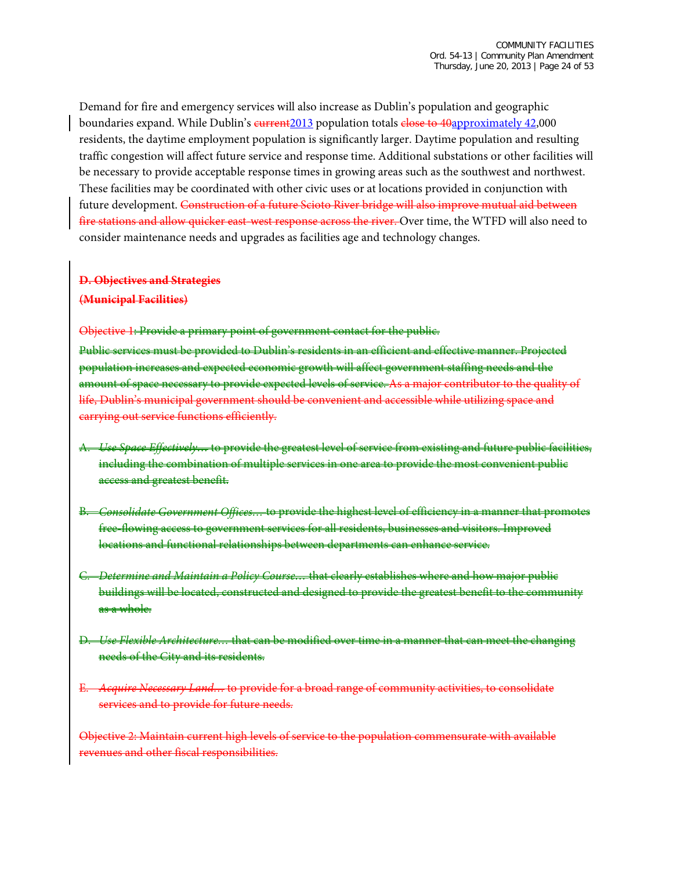Demand for fire and emergency services will also increase as Dublin's population and geographic boundaries expand. While Dublin's current2013 population totals close to 40approximately 42,000 residents, the daytime employment population is significantly larger. Daytime population and resulting traffic congestion will affect future service and response time. Additional substations or other facilities will be necessary to provide acceptable response times in growing areas such as the southwest and northwest. These facilities may be coordinated with other civic uses or at locations provided in conjunction with future development. Construction of a future Scioto River bridge will also improve mutual aid between fire stations and allow quicker east-west response across the river. Over time, the WTFD will also need to consider maintenance needs and upgrades as facilities age and technology changes.

#### **D. Objectives and Strategies**

#### **(Municipal Facilities)**

Objective 1: Provide a primary point of government contact for the public.

Public services must be provided to Dublin's residents in an efficient and effective manner. Projected population increases and expected economic growth will affect government staffing needs and the amount of space necessary to provide expected levels of service. As a major contributor to the quality of life, Dublin's municipal government should be convenient and accessible while utilizing space and carrying out service functions efficiently.

- A. *Use Space Effectively…* to provide the greatest level of service from existing and future public facilities, including the combination of multiple services in one area to provide the most convenient public access and greatest benefit.
- B. *Consolidate Government Offices…* to provide the highest level of efficiency in a manner that promotes free-flowing access to government services for all residents, businesses and visitors. Improved locations and functional relationships between departments can enhance service.
- C. *Determine and Maintain a Policy Course…* that clearly establishes where and how major public buildings will be located, constructed and designed to provide the greatest benefit to the community as a whole.
- D. *Use Flexible Architecture…* that can be modified over time in a manner that can meet the changing needs of the City and its residents.
- E. *Acquire Necessary Land…* to provide for a broad range of community activities, to consolidate services and to provide for future needs.

Objective 2: Maintain current high levels of service to the population commensurate with available revenues and other fiscal responsibilities.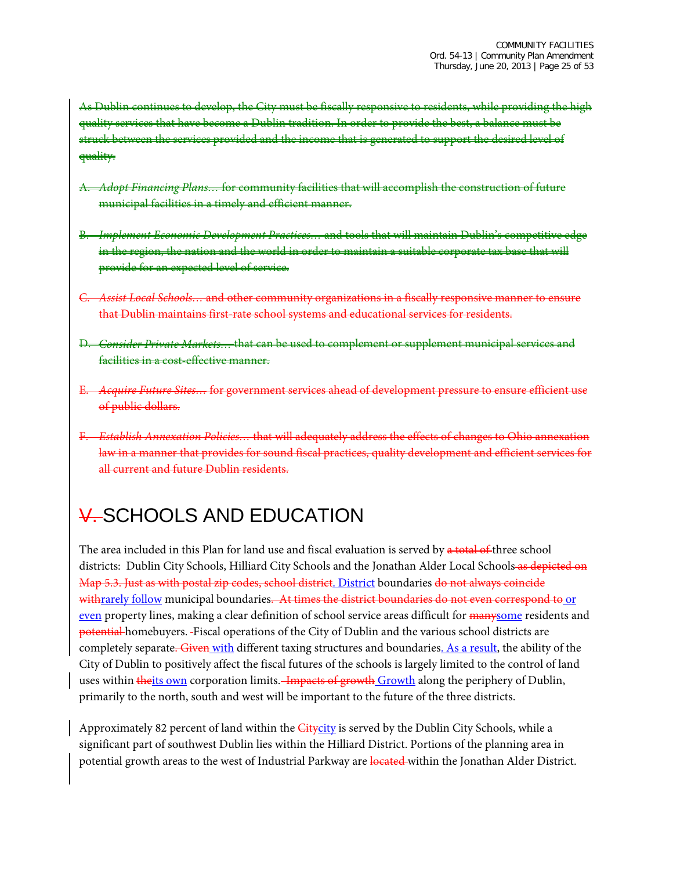As Dublin continues to develop, the City must be fiscally responsive to residents, while providing the high quality services that have become a Dublin tradition. In order to provide the best, a balance must be struck between the services provided and the income that is generated to support the desired level of quality.

- A. *Adopt Financing Plans…* for community facilities that will accomplish the construction of future municipal facilities in a timely and efficient manner.
- B. *Implement Economic Development Practices…* and tools that will maintain Dublin's competitive edge in the region, the nation and the world in order to maintain a suitable corporate tax base that will provide for an expected level of service.
- C. *Assist Local Schools…* and other community organizations in a fiscally responsive manner to ensure that Dublin maintains first-rate school systems and educational services for residents.
- D. *Consider Private Markets…* that can be used to complement or supplement municipal services and facilities in a cost-effective manner.
- E. *Acquire Future Sites…* for government services ahead of development pressure to ensure efficient use of public dollars.
- **Establish Annexation Policies... that will adequately address the effects of changes to Ohio** law in a manner that provides for sound fiscal practices, quality development and efficient services for all current and future Dublin residents.

# V. SCHOOLS AND EDUCATION

The area included in this Plan for land use and fiscal evaluation is served by a total of three school districts: Dublin City Schools, Hilliard City Schools and the Jonathan Alder Local Schools as depicted on Map 5.3. Just as with postal zip codes, school district. District boundaries do not always coincide withrarely follow municipal boundaries. At times the district boundaries do not even correspond to or even property lines, making a clear definition of school service areas difficult for manysome residents and potential homebuyers. Fiscal operations of the City of Dublin and the various school districts are completely separate. Given with different taxing structures and boundaries. As a result, the ability of the City of Dublin to positively affect the fiscal futures of the schools is largely limited to the control of land uses within theits own corporation limits. Impacts of growth Growth along the periphery of Dublin, primarily to the north, south and west will be important to the future of the three districts.

Approximately 82 percent of land within the *Citycity* is served by the Dublin City Schools, while a significant part of southwest Dublin lies within the Hilliard District. Portions of the planning area in potential growth areas to the west of Industrial Parkway are located within the Jonathan Alder District.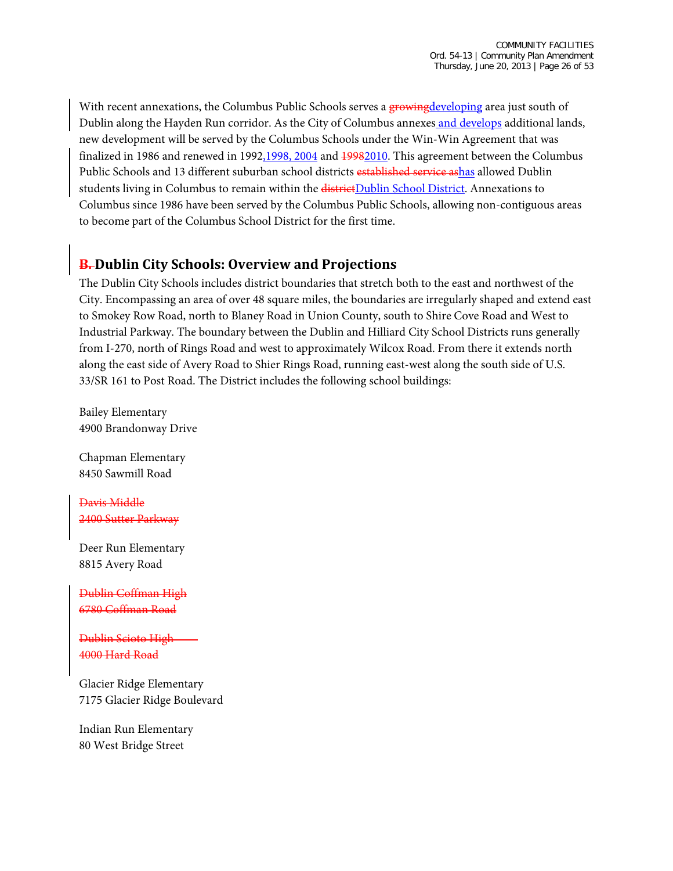With recent annexations, the Columbus Public Schools serves a growingdeveloping area just south of Dublin along the Hayden Run corridor. As the City of Columbus annexes and develops additional lands, new development will be served by the Columbus Schools under the Win-Win Agreement that was finalized in 1986 and renewed in 1992,1998, 2004 and 19982010. This agreement between the Columbus Public Schools and 13 different suburban school districts established service ashas allowed Dublin students living in Columbus to remain within the districtDublin School District. Annexations to Columbus since 1986 have been served by the Columbus Public Schools, allowing non-contiguous areas to become part of the Columbus School District for the first time.

## **B. Dublin City Schools: Overview and Projections**

The Dublin City Schools includes district boundaries that stretch both to the east and northwest of the City. Encompassing an area of over 48 square miles, the boundaries are irregularly shaped and extend east to Smokey Row Road, north to Blaney Road in Union County, south to Shire Cove Road and West to Industrial Parkway. The boundary between the Dublin and Hilliard City School Districts runs generally from I-270, north of Rings Road and west to approximately Wilcox Road. From there it extends north along the east side of Avery Road to Shier Rings Road, running east-west along the south side of U.S. 33/SR 161 to Post Road. The District includes the following school buildings:

Bailey Elementary 4900 Brandonway Drive

Chapman Elementary 8450 Sawmill Road

Davis Middle 2400 Sutter Parkway

Deer Run Elementary 8815 Avery Road

Dublin Coffman High 6780 Coffman Road

Dublin Scioto High 4000 Hard Road

Glacier Ridge Elementary 7175 Glacier Ridge Boulevard

Indian Run Elementary 80 West Bridge Street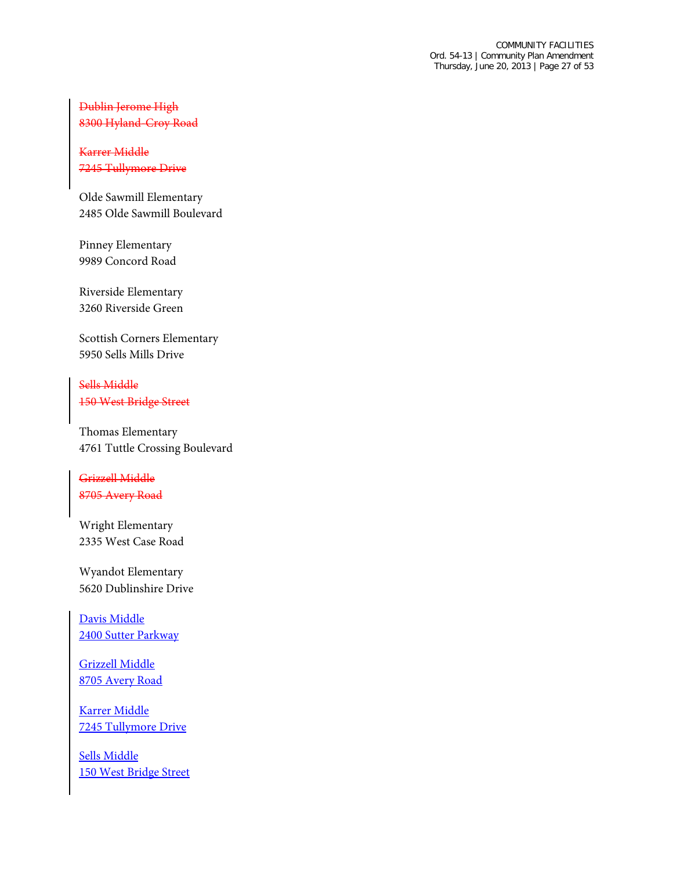### Dublin Jerome High 8300 Hyland-Croy Road

#### Karrer Middle 7245 Tullymore Drive

Olde Sawmill Elementary 2485 Olde Sawmill Boulevard

Pinney Elementary 9989 Concord Road

Riverside Elementary 3260 Riverside Green

Scottish Corners Elementary 5950 Sells Mills Drive

Sells Middle 150 West Bridge Street

Thomas Elementary 4761 Tuttle Crossing Boulevard

Grizzell Middle 8705 Avery Road

Wright Elementary 2335 West Case Road

Wyandot Elementary 5620 Dublinshire Drive

Davis Middle 2400 Sutter Parkway

Grizzell Middle 8705 Avery Road

Karrer Middle 7245 Tullymore Drive

Sells Middle 150 West Bridge Street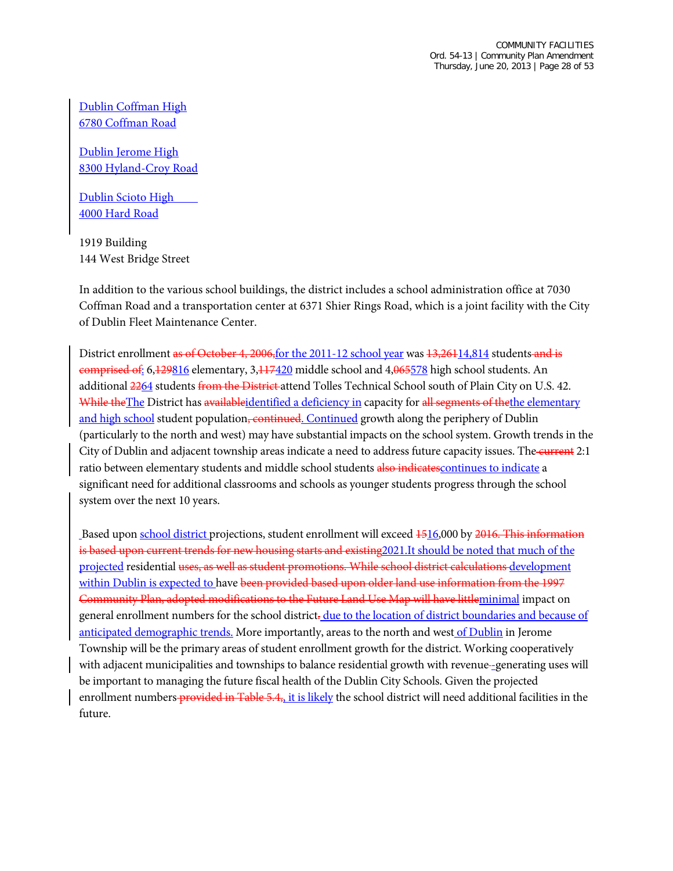Dublin Coffman High 6780 Coffman Road

Dublin Jerome High 8300 Hyland-Croy Road

Dublin Scioto High 4000 Hard Road

1919 Building 144 West Bridge Street

In addition to the various school buildings, the district includes a school administration office at 7030 Coffman Road and a transportation center at 6371 Shier Rings Road, which is a joint facility with the City of Dublin Fleet Maintenance Center.

District enrollment as of October 4, 2006, for the 2011-12 school year was  $13,26114,814$  students and is comprised of: 6,129816 elementary, 3,117420 middle school and 4,065578 high school students. An additional 2264 students from the District attend Tolles Technical School south of Plain City on U.S. 42. While the The District has available identified a deficiency in capacity for all segments of the the elementary and high school student population, continued. Continued growth along the periphery of Dublin (particularly to the north and west) may have substantial impacts on the school system. Growth trends in the City of Dublin and adjacent township areas indicate a need to address future capacity issues. The current 2:1 ratio between elementary students and middle school students also indicatescontinues to indicate a significant need for additional classrooms and schools as younger students progress through the school system over the next 10 years.

Based upon school district projections, student enrollment will exceed 1516,000 by 2016. This information is based upon current trends for new housing starts and existing 2021. It should be noted that much of the projected residential uses, as well as student promotions. While school district calculations development within Dublin is expected to have been provided based upon older land use information from the 1997 Community Plan, adopted modifications to the Future Land Use Map will have littleminimal impact on general enrollment numbers for the school district-due to the location of district boundaries and because of anticipated demographic trends. More importantly, areas to the north and west of Dublin in Jerome Township will be the primary areas of student enrollment growth for the district. Working cooperatively with adjacent municipalities and townships to balance residential growth with revenue-generating uses will be important to managing the future fiscal health of the Dublin City Schools. Given the projected enrollment numbers provided in Table 5.4,, it is likely the school district will need additional facilities in the future.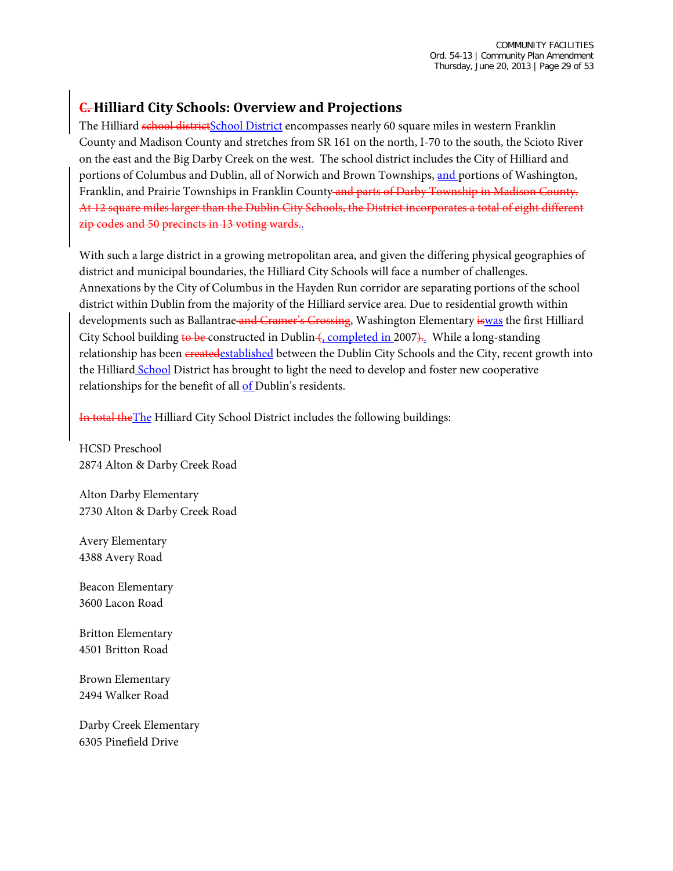## **C. Hilliard City Schools: Overview and Projections**

The Hilliard school districtSchool District encompasses nearly 60 square miles in western Franklin County and Madison County and stretches from SR 161 on the north, I-70 to the south, the Scioto River on the east and the Big Darby Creek on the west. The school district includes the City of Hilliard and portions of Columbus and Dublin, all of Norwich and Brown Townships, and portions of Washington, Franklin, and Prairie Townships in Franklin County and parts of Darby Township in Madison County. At 12 square miles larger than the Dublin City Schools, the District incorporates a total of eight different zip codes and 50 precincts in 13 voting wards.

With such a large district in a growing metropolitan area, and given the differing physical geographies of district and municipal boundaries, the Hilliard City Schools will face a number of challenges. Annexations by the City of Columbus in the Hayden Run corridor are separating portions of the school district within Dublin from the majority of the Hilliard service area. Due to residential growth within developments such as Ballantrae and Cramer's Crossing, Washington Elementary iswas the first Hilliard City School building to be constructed in Dublin (, completed in 2007).. While a long-standing relationship has been created established between the Dublin City Schools and the City, recent growth into the Hilliard School District has brought to light the need to develop and foster new cooperative relationships for the benefit of all of Dublin's residents.

In total the The Hilliard City School District includes the following buildings:

HCSD Preschool 2874 Alton & Darby Creek Road

Alton Darby Elementary 2730 Alton & Darby Creek Road

Avery Elementary 4388 Avery Road

Beacon Elementary 3600 Lacon Road

Britton Elementary 4501 Britton Road

Brown Elementary 2494 Walker Road

Darby Creek Elementary 6305 Pinefield Drive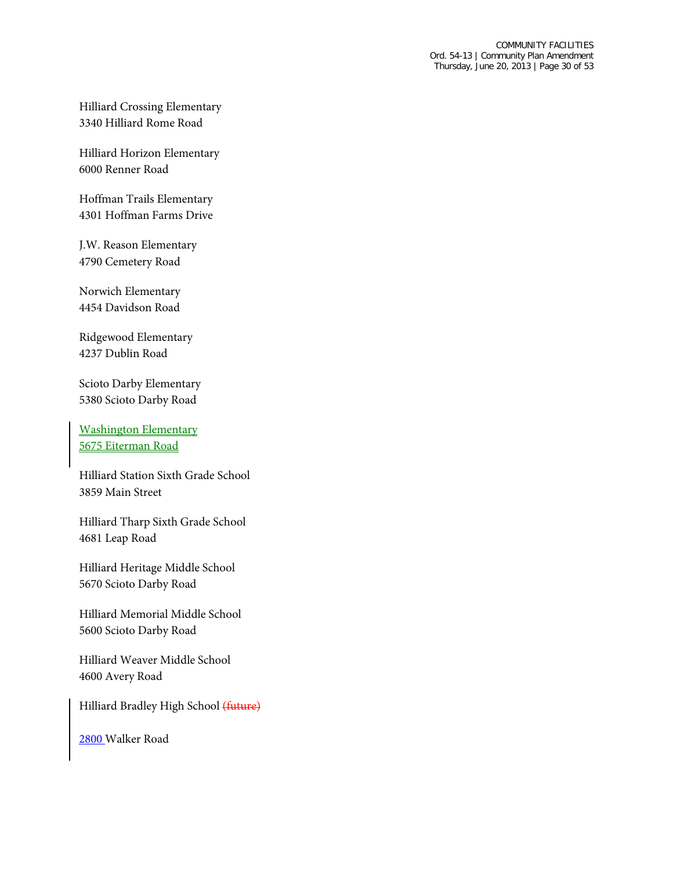Hilliard Crossing Elementary 3340 Hilliard Rome Road

Hilliard Horizon Elementary 6000 Renner Road

Hoffman Trails Elementary 4301 Hoffman Farms Drive

J.W. Reason Elementary 4790 Cemetery Road

Norwich Elementary 4454 Davidson Road

Ridgewood Elementary 4237 Dublin Road

Scioto Darby Elementary 5380 Scioto Darby Road

Washington Elementary 5675 Eiterman Road

Hilliard Station Sixth Grade School 3859 Main Street

Hilliard Tharp Sixth Grade School 4681 Leap Road

Hilliard Heritage Middle School 5670 Scioto Darby Road

Hilliard Memorial Middle School 5600 Scioto Darby Road

Hilliard Weaver Middle School 4600 Avery Road

Hilliard Bradley High School (future)

2800 Walker Road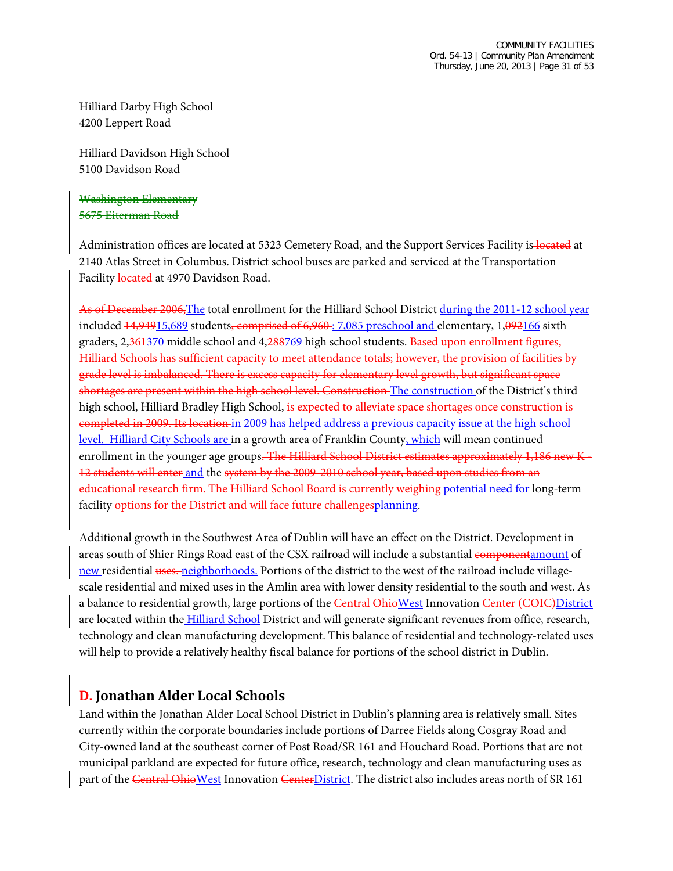Hilliard Darby High School 4200 Leppert Road

Hilliard Davidson High School 5100 Davidson Road

#### Washington Elementary 5675 Eiterman Road

Administration offices are located at 5323 Cemetery Road, and the Support Services Facility is located at 2140 Atlas Street in Columbus. District school buses are parked and serviced at the Transportation Facility located at 4970 Davidson Road.

As of December 2006, The total enrollment for the Hilliard School District during the 2011-12 school year included  $14,94915,689$  students, comprised of 6,960 : 7,085 preschool and elementary, 1,092166 sixth graders, 2,361370 middle school and 4,288769 high school students. Based upon enrollment figures, Hilliard Schools has sufficient capacity to meet attendance totals; however, the provision of facilities by grade level is imbalanced. There is excess capacity for elementary level growth, but significant space shortages are present within the high school level. Construction The construction of the District's third high school, Hilliard Bradley High School, is expected to alleviate space shortages once construction is completed in 2009. Its location in 2009 has helped address a previous capacity issue at the high school level. Hilliard City Schools are in a growth area of Franklin County, which will mean continued enrollment in the younger age groups. The Hilliard School District estimates approximately 1,186 new K-12 students will enter and the system by the 2009-2010 school year, based upon studies from an educational research firm. The Hilliard School Board is currently weighing potential need for long-term facility options for the District and will face future challengesplanning.

Additional growth in the Southwest Area of Dublin will have an effect on the District. Development in areas south of Shier Rings Road east of the CSX railroad will include a substantial componentamount of new residential uses. neighborhoods. Portions of the district to the west of the railroad include villagescale residential and mixed uses in the Amlin area with lower density residential to the south and west. As a balance to residential growth, large portions of the Central OhioWest Innovation Center (COIC) District are located within the Hilliard School District and will generate significant revenues from office, research, technology and clean manufacturing development. This balance of residential and technology-related uses will help to provide a relatively healthy fiscal balance for portions of the school district in Dublin.

## **D. Jonathan Alder Local Schools**

Land within the Jonathan Alder Local School District in Dublin's planning area is relatively small. Sites currently within the corporate boundaries include portions of Darree Fields along Cosgray Road and City-owned land at the southeast corner of Post Road/SR 161 and Houchard Road. Portions that are not municipal parkland are expected for future office, research, technology and clean manufacturing uses as part of the Central Ohio West Innovation Center District. The district also includes areas north of SR 161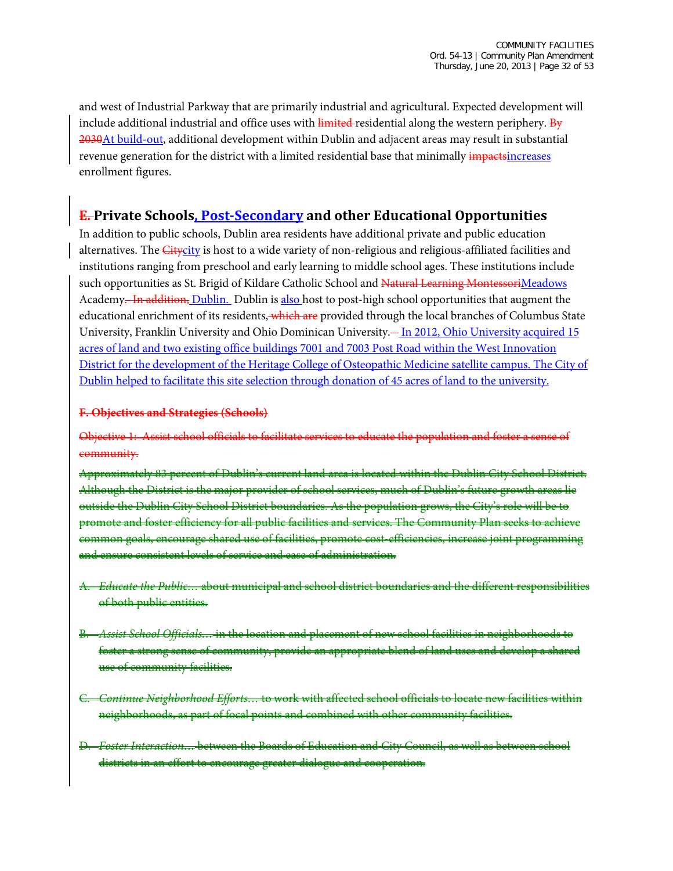and west of Industrial Parkway that are primarily industrial and agricultural. Expected development will include additional industrial and office uses with  $\frac{1}{2}$  interedential along the western periphery. By 2030 At build-out, additional development within Dublin and adjacent areas may result in substantial revenue generation for the district with a limited residential base that minimally *impactsincreases* enrollment figures.

### **E. Private Schools, Post-Secondary and other Educational Opportunities**

In addition to public schools, Dublin area residents have additional private and public education alternatives. The Citycity is host to a wide variety of non-religious and religious-affiliated facilities and institutions ranging from preschool and early learning to middle school ages. These institutions include such opportunities as St. Brigid of Kildare Catholic School and Natural Learning MontessoriMeadows Academy. In addition, Dublin. Dublin is also host to post-high school opportunities that augment the educational enrichment of its residents, which are provided through the local branches of Columbus State University, Franklin University and Ohio Dominican University. - In 2012, Ohio University acquired 15 acres of land and two existing office buildings 7001 and 7003 Post Road within the West Innovation District for the development of the Heritage College of Osteopathic Medicine satellite campus. The City of Dublin helped to facilitate this site selection through donation of 45 acres of land to the university.

#### **F. Objectives and Strategies (Schools)**

Objective 1: Assist school officials to facilitate services to educate the population and foster a sense of community.

Approximately 83 percent of Dublin's current land area is located within the Dublin City School District. Although the District is the major provider of school services, much of Dublin's future growth areas lie outside the Dublin City School District boundaries. As the population grows, the City's role will be to promote and foster efficiency for all public facilities and services. The Community Plan seeks to common goals, encourage shared use of facilities, promote cost-efficiencies, increase joint programming and ensure consistent levels of service and ease of administration.

- A. *Educate the Public…* about municipal and school district boundaries and the different responsibilities of both public entities.
- B. *Assist School Officials…* in the location and placement of new school facilities in neighborhoods to sense of community, provide an appropriate blend use of community facilities.
- Continue Neighborhood Efforts... to work with affected school officials to locate new facilities within neighborhoods, as part of focal points and combined with other community facilities.
- D. *Foster Interaction…* between the Boards of Education and City Council, as well as between school districts in an effort to encourage greater dialogue and cooperation.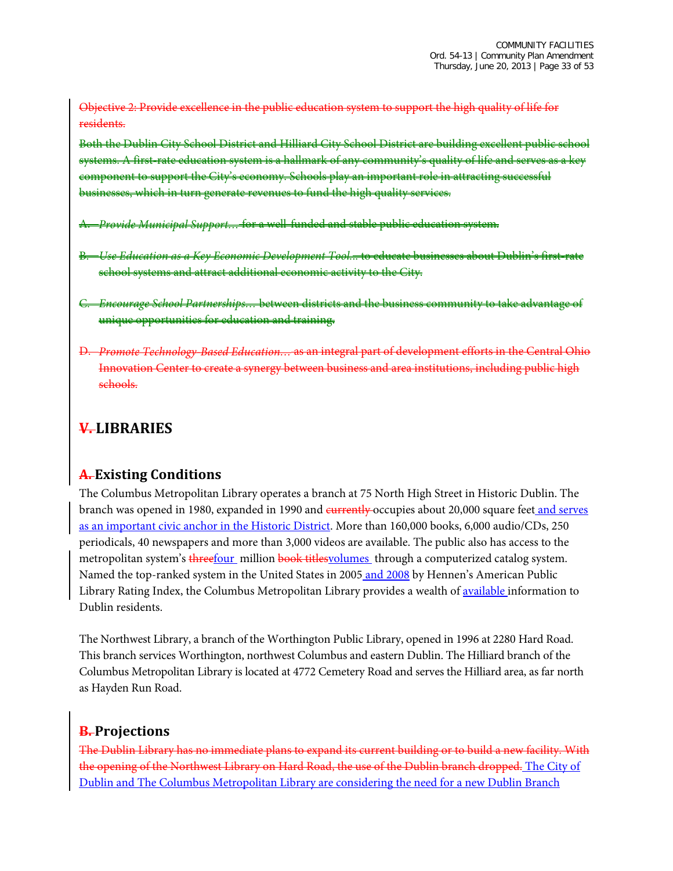Objective 2: Provide excellence in the public education system to support the high quality of life for residents.

Both the Dublin City School District and Hilliard City School District are building excellent public school systems. A first-rate education system is a hallmark of any community's quality of life and serves as a key component to support the City's economy. Schools play an important role in attracting successful which in turn generate revenues to fund the high quality services.

- A. *Provide Municipal Support…* for a well-funded and stable public education system.
- B. *Use Education as a Key Economic Development Tool.*.. to educate businesses about Dublin's first-rate school systems and attract additional economic activity to the City.
- C. *Encourage School Partnerships…* between districts and the business community to take advantage of unique opportunities for education and training.
- D. *Promote Technology-Based Education…* as an integral part of development efforts in the Central Ohio Innovation Center to create a synergy between business and area institutions, including public high schools.

# **V. LIBRARIES**

## **A. Existing Conditions**

The Columbus Metropolitan Library operates a branch at 75 North High Street in Historic Dublin. The branch was opened in 1980, expanded in 1990 and eurrently occupies about 20,000 square feet and serves as an important civic anchor in the Historic District. More than 160,000 books, 6,000 audio/CDs, 250 periodicals, 40 newspapers and more than 3,000 videos are available. The public also has access to the metropolitan system's threefour million book titles volumes through a computerized catalog system. Named the top-ranked system in the United States in 2005 and 2008 by Hennen's American Public Library Rating Index, the Columbus Metropolitan Library provides a wealth of available information to Dublin residents.

The Northwest Library, a branch of the Worthington Public Library, opened in 1996 at 2280 Hard Road. This branch services Worthington, northwest Columbus and eastern Dublin. The Hilliard branch of the Columbus Metropolitan Library is located at 4772 Cemetery Road and serves the Hilliard area, as far north as Hayden Run Road.

## **B. Projections**

The Dublin Library has no immediate plans to expand its current building or to build a new facility. With the opening of the Northwest Library on Hard Road, the use of the Dublin branch dropped. The City of Dublin and The Columbus Metropolitan Library are considering the need for a new Dublin Branch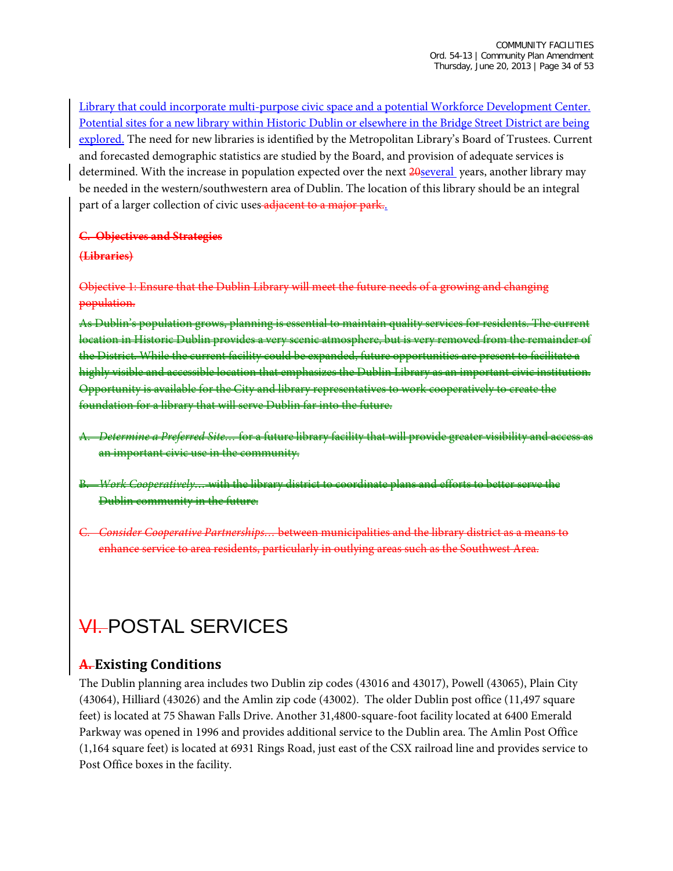Library that could incorporate multi-purpose civic space and a potential Workforce Development Center. Potential sites for a new library within Historic Dublin or elsewhere in the Bridge Street District are being explored. The need for new libraries is identified by the Metropolitan Library's Board of Trustees. Current and forecasted demographic statistics are studied by the Board, and provision of adequate services is determined. With the increase in population expected over the next 20several years, another library may be needed in the western/southwestern area of Dublin. The location of this library should be an integral part of a larger collection of civic uses adjacent to a major park..

#### **C. Objectives and Strategies**

#### **(Libraries)**

Objective 1: Ensure that the Dublin Library will meet the future needs of a growing and changing population.

As Dublin's population grows, planning is essential to maintain quality services for residents. The current location in Historic Dublin provides a very scenic atmosphere, but is very removed from the remainder of the District. While the current facility could be expanded, future opportunities are present highly visible and accessible location that emphasizes the Dublin Library as an important civic institution. Opportunity is available for the City and library representatives to work cooperatively to create the foundation for a library that will serve Dublin far into the future.

- A. *Determine a Preferred Site…* for a future library facility that will provide greater visibility and access as an important civic use in the community.
- B. *Work Cooperatively…* with the library district to coordinate plans and efforts to better serve the Dublin community in the future.
- C. *Consider Cooperative Partnerships…* between municipalities and the library district as a means to enhance service to area residents, particularly in outlying areas such as the Southwest Area.

# VI. POSTAL SERVICES

## **A. Existing Conditions**

The Dublin planning area includes two Dublin zip codes (43016 and 43017), Powell (43065), Plain City (43064), Hilliard (43026) and the Amlin zip code (43002). The older Dublin post office (11,497 square feet) is located at 75 Shawan Falls Drive. Another 31,4800-square-foot facility located at 6400 Emerald Parkway was opened in 1996 and provides additional service to the Dublin area. The Amlin Post Office (1,164 square feet) is located at 6931 Rings Road, just east of the CSX railroad line and provides service to Post Office boxes in the facility.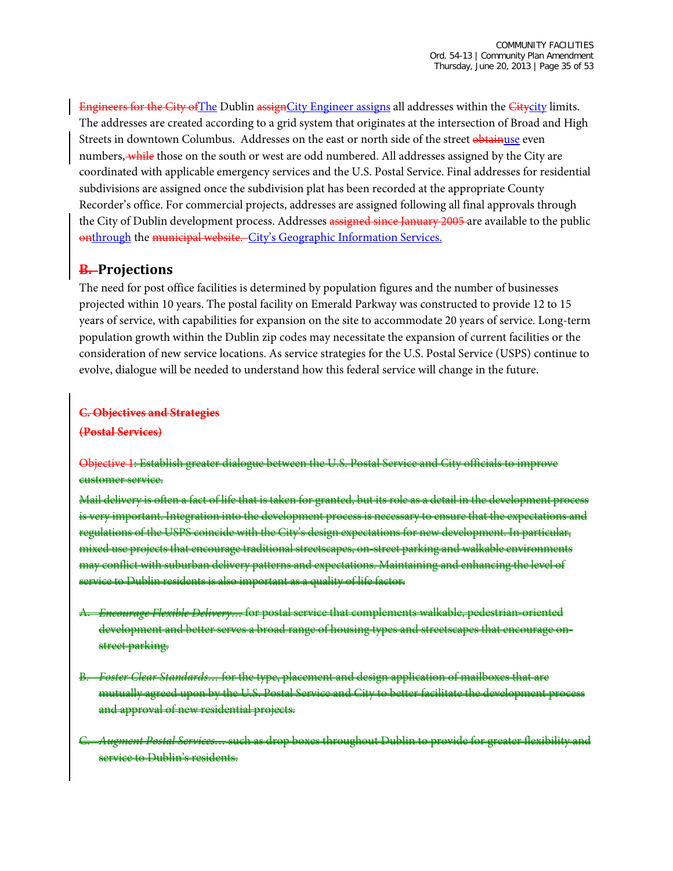Engineers for the City ofThe Dublin assignCity Engineer assigns all addresses within the Citycity limits. The addresses are created according to a grid system that originates at the intersection of Broad and High Streets in downtown Columbus. Addresses on the east or north side of the street obtainuse even numbers, while those on the south or west are odd numbered. All addresses assigned by the City are coordinated with applicable emergency services and the U.S. Postal Service. Final addresses for residential subdivisions are assigned once the subdivision plat has been recorded at the appropriate County Recorder's office. For commercial projects, addresses are assigned following all final approvals through the City of Dublin development process. Addresses assigned since January 2005 are available to the public onthrough the municipal website. City's [Geographic Information Services.](http://dublinohiousa.gov/gis-maps/)

### **B. Projections**

The need for post office facilities is determined by population figures and the number of businesses projected within 10 years. The postal facility on Emerald Parkway was constructed to provide 12 to 15 years of service, with capabilities for expansion on the site to accommodate 20 years of service. Long-term population growth within the Dublin zip codes may necessitate the expansion of current facilities or the consideration of new service locations. As service strategies for the U.S. Postal Service (USPS) continue to evolve, dialogue will be needed to understand how this federal service will change in the future.

#### **C. Objectives and Strategies (Postal Services)**

Objective 1: Establish greater dialogue between the U.S. Postal Service and City officials to improve customer service.

Mail delivery is often a fact of life that is taken for granted, but its role as a detail in the development process is very important. Integration into the development process is necessary to ensure that the expectations and regulations of the USPS coincide with the City's design expectations for new development. In particular, mixed use projects that encourage traditional streetscapes, on-street parking and walkable environments may conflict with suburban delivery patterns and expectations. Maintaining and enhancing the level of service to Dublin residents is also important as a quality of life factor.

- A. *Encourage Flexible Delivery…* for postal service that complements walkable, pedestrian-oriented development and better serves a broad range of housing types and streetscapes that encourage street parking.
- B. *Foster Clear Standards…* for the type, placement and design application of mailboxes that are mutually agreed upon by the U.S. Postal Service and City to better facilitate the development process and approval of new residential projects.
- C. *Augment Postal Services…* such as drop boxes throughout Dublin to provide for greater flexibility and service to Dublin's residents.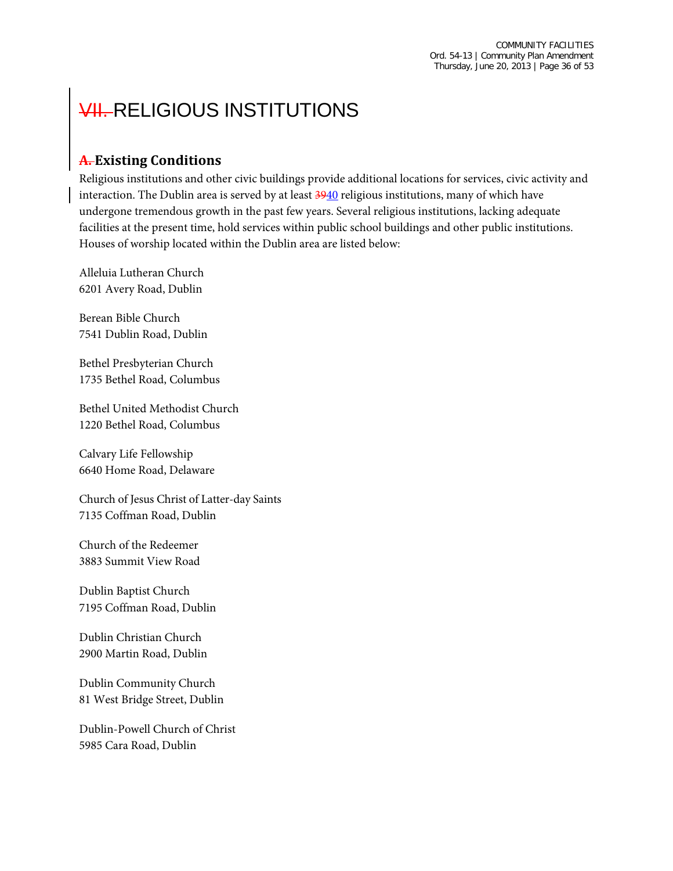# **VII. RELIGIOUS INSTITUTIONS**

## **A. Existing Conditions**

Religious institutions and other civic buildings provide additional locations for services, civic activity and interaction. The Dublin area is served by at least  $\frac{3940}{9}$  religious institutions, many of which have undergone tremendous growth in the past few years. Several religious institutions, lacking adequate facilities at the present time, hold services within public school buildings and other public institutions. Houses of worship located within the Dublin area are listed below:

Alleluia Lutheran Church 6201 Avery Road, Dublin

Berean Bible Church 7541 Dublin Road, Dublin

Bethel Presbyterian Church 1735 Bethel Road, Columbus

Bethel United Methodist Church 1220 Bethel Road, Columbus

Calvary Life Fellowship 6640 Home Road, Delaware

Church of Jesus Christ of Latter-day Saints 7135 Coffman Road, Dublin

Church of the Redeemer 3883 Summit View Road

Dublin Baptist Church 7195 Coffman Road, Dublin

Dublin Christian Church 2900 Martin Road, Dublin

Dublin Community Church 81 West Bridge Street, Dublin

Dublin-Powell Church of Christ 5985 Cara Road, Dublin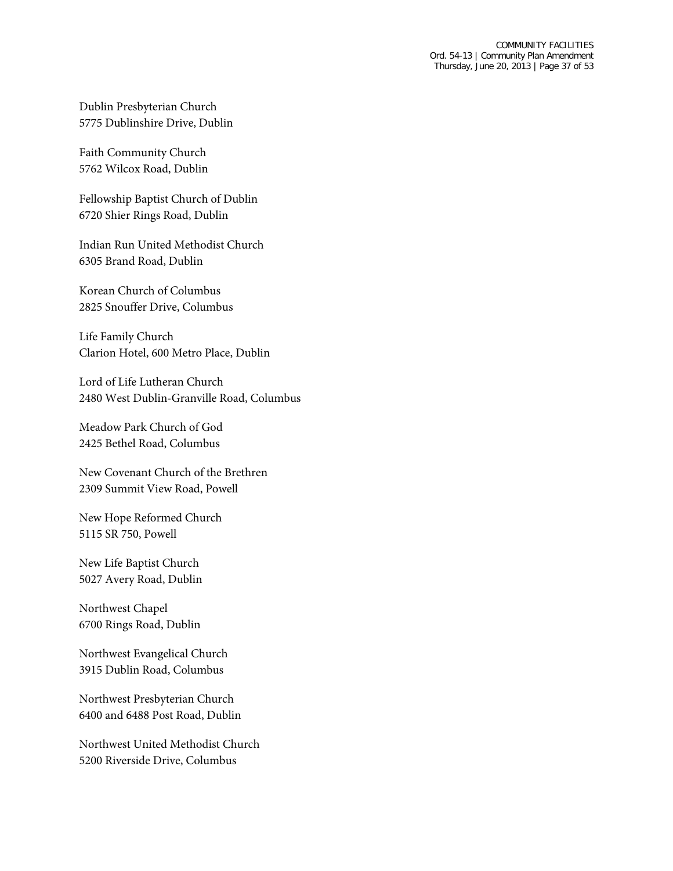Dublin Presbyterian Church 5775 Dublinshire Drive, Dublin

Faith Community Church 5762 Wilcox Road, Dublin

Fellowship Baptist Church of Dublin 6720 Shier Rings Road, Dublin

Indian Run United Methodist Church 6305 Brand Road, Dublin

Korean Church of Columbus 2825 Snouffer Drive, Columbus

Life Family Church Clarion Hotel, 600 Metro Place, Dublin

Lord of Life Lutheran Church 2480 West Dublin-Granville Road, Columbus

Meadow Park Church of God 2425 Bethel Road, Columbus

New Covenant Church of the Brethren 2309 Summit View Road, Powell

New Hope Reformed Church 5115 SR 750, Powell

New Life Baptist Church 5027 Avery Road, Dublin

Northwest Chapel 6700 Rings Road, Dublin

Northwest Evangelical Church 3915 Dublin Road, Columbus

Northwest Presbyterian Church 6400 and 6488 Post Road, Dublin

Northwest United Methodist Church 5200 Riverside Drive, Columbus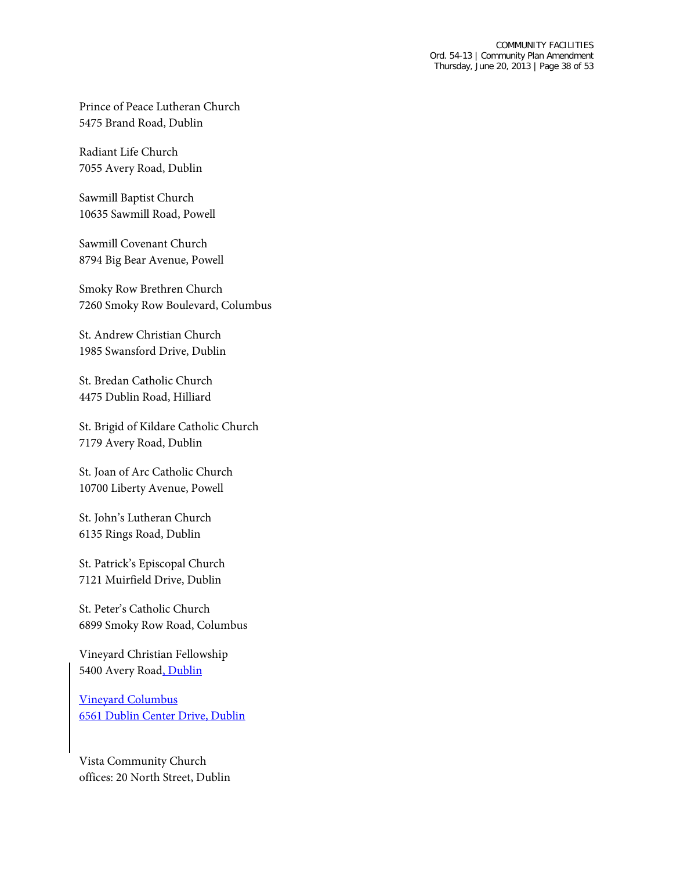Prince of Peace Lutheran Church 5475 Brand Road, Dublin

Radiant Life Church 7055 Avery Road, Dublin

Sawmill Baptist Church 10635 Sawmill Road, Powell

Sawmill Covenant Church 8794 Big Bear Avenue, Powell

Smoky Row Brethren Church 7260 Smoky Row Boulevard, Columbus

St. Andrew Christian Church 1985 Swansford Drive, Dublin

St. Bredan Catholic Church 4475 Dublin Road, Hilliard

St. Brigid of Kildare Catholic Church 7179 Avery Road, Dublin

St. Joan of Arc Catholic Church 10700 Liberty Avenue, Powell

St. John's Lutheran Church 6135 Rings Road, Dublin

St. Patrick's Episcopal Church 7121 Muirfield Drive, Dublin

St. Peter's Catholic Church 6899 Smoky Row Road, Columbus

Vineyard Christian Fellowship 5400 Avery Road, Dublin

Vineyard Columbus 6561 Dublin Center Drive, Dublin

Vista Community Church offices: 20 North Street, Dublin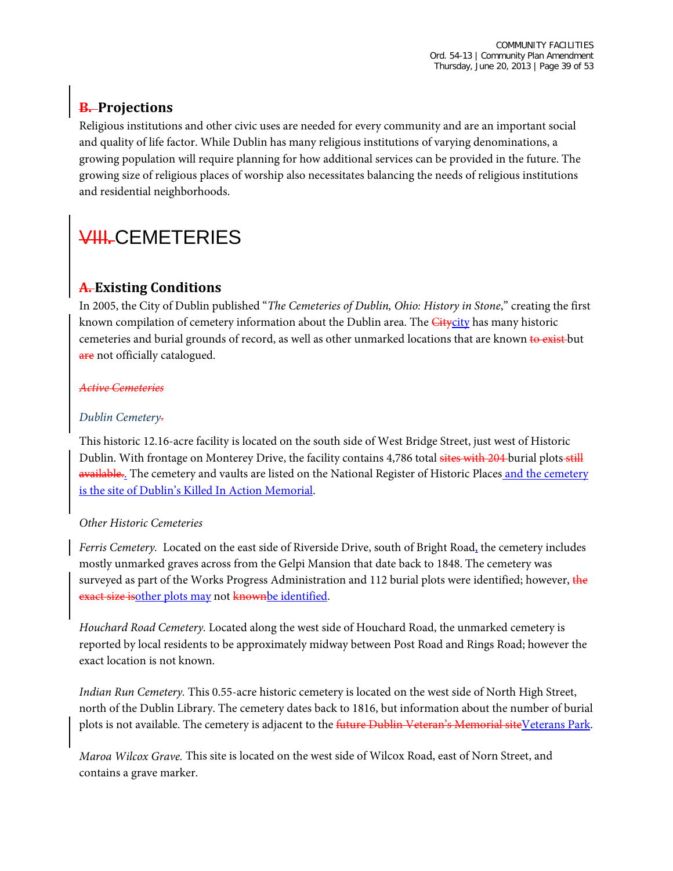# **B. Projections**

Religious institutions and other civic uses are needed for every community and are an important social and quality of life factor. While Dublin has many religious institutions of varying denominations, a growing population will require planning for how additional services can be provided in the future. The growing size of religious places of worship also necessitates balancing the needs of religious institutions and residential neighborhoods.

# VIII**.** CEMETERIES

# **A. Existing Conditions**

In 2005, the City of Dublin published "*The Cemeteries of Dublin, Ohio: History in Stone*," creating the first known compilation of cemetery information about the Dublin area. The *Citycity* has many historic cemeteries and burial grounds of record, as well as other unmarked locations that are known to exist but are not officially catalogued.

### *Active Cemeteries*

### *Dublin Cemetery*.

This historic 12.16-acre facility is located on the south side of West Bridge Street, just west of Historic Dublin. With frontage on Monterey Drive, the facility contains 4,786 total sites with 204 burial plots still available.. The cemetery and vaults are listed on the National Register of Historic Places and the cemetery is the site of Dublin's Killed In Action Memorial.

### *Other Historic Cemeteries*

*Ferris Cemetery.* Located on the east side of Riverside Drive, south of Bright Road, the cemetery includes mostly unmarked graves across from the Gelpi Mansion that date back to 1848. The cemetery was surveyed as part of the Works Progress Administration and 112 burial plots were identified; however, the exact size isother plots may not knownbe identified.

*Houchard Road Cemetery.* Located along the west side of Houchard Road, the unmarked cemetery is reported by local residents to be approximately midway between Post Road and Rings Road; however the exact location is not known.

*Indian Run Cemetery.* This 0.55-acre historic cemetery is located on the west side of North High Street, north of the Dublin Library. The cemetery dates back to 1816, but information about the number of burial plots is not available. The cemetery is adjacent to the future Dublin Veteran's Memorial siteVeterans Park.

*Maroa Wilcox Grave.* This site is located on the west side of Wilcox Road, east of Norn Street, and contains a grave marker.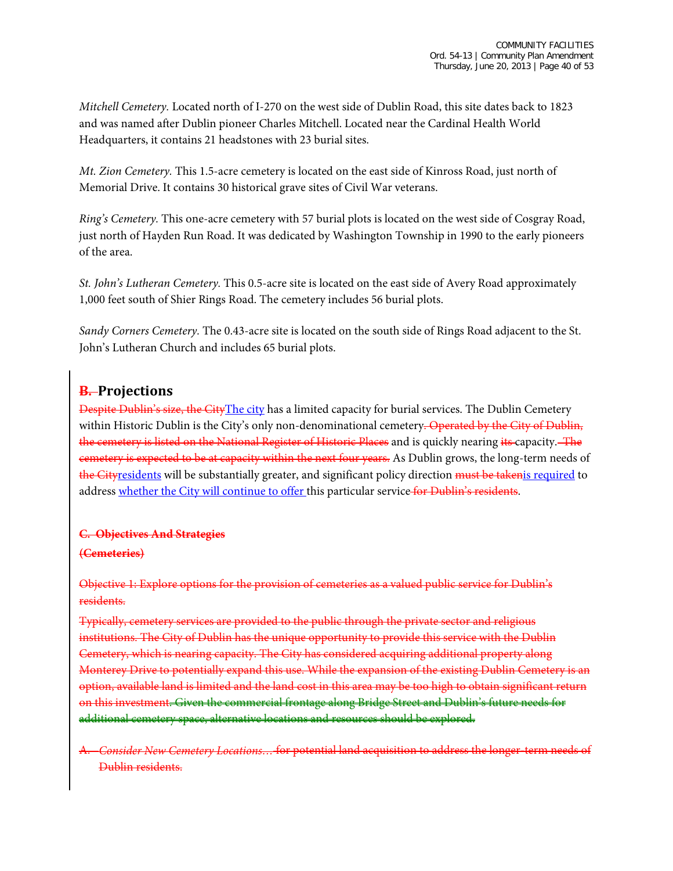*Mitchell Cemetery.* Located north of I-270 on the west side of Dublin Road, this site dates back to 1823 and was named after Dublin pioneer Charles Mitchell. Located near the Cardinal Health World Headquarters, it contains 21 headstones with 23 burial sites.

*Mt. Zion Cemetery.* This 1.5-acre cemetery is located on the east side of Kinross Road, just north of Memorial Drive. It contains 30 historical grave sites of Civil War veterans.

*Ring's Cemetery.* This one-acre cemetery with 57 burial plots is located on the west side of Cosgray Road, just north of Hayden Run Road. It was dedicated by Washington Township in 1990 to the early pioneers of the area.

*St. John's Lutheran Cemetery.* This 0.5-acre site is located on the east side of Avery Road approximately 1,000 feet south of Shier Rings Road. The cemetery includes 56 burial plots.

*Sandy Corners Cemetery.* The 0.43-acre site is located on the south side of Rings Road adjacent to the St. John's Lutheran Church and includes 65 burial plots.

## **B. Projections**

Despite Dublin's size, the CityThe city has a limited capacity for burial services. The Dublin Cemetery within Historic Dublin is the City's only non-denominational cemetery. Operated by the City of Dublin, the cemetery is listed on the National Register of Historic Places and is quickly nearing its capacity. The cemetery is expected to be at capacity within the next four years. As Dublin grows, the long-term needs of the Cityresidents will be substantially greater, and significant policy direction must be taken is required to address whether the City will continue to offer this particular service for Dublin's residents.

#### **C. Objectives And Strategies**

#### **(Cemeteries)**

### Objective 1: Explore options for the provision of cemeteries as a valued public service for Dublin's residents.

Typically, cemetery services are provided to the public through the private sector and religious institutions. The City of Dublin has the unique opportunity to provide this service with the Dublin Cemetery, which is nearing capacity. The City has considered acquiring additional property along Monterey Drive to potentially expand this use. While the expansion of the existing Dublin Cemetery is an option, available land is limited and the land cost in this area may be too high to obtain significant return on this investment. Given the commercial frontage along Bridge Street and Dublin's future needs for additional cemetery space, alternative locations and resources should be explored.

A. *Consider New Cemetery Locations…* for potential land acquisition to address the longer-term needs of Dublin residents.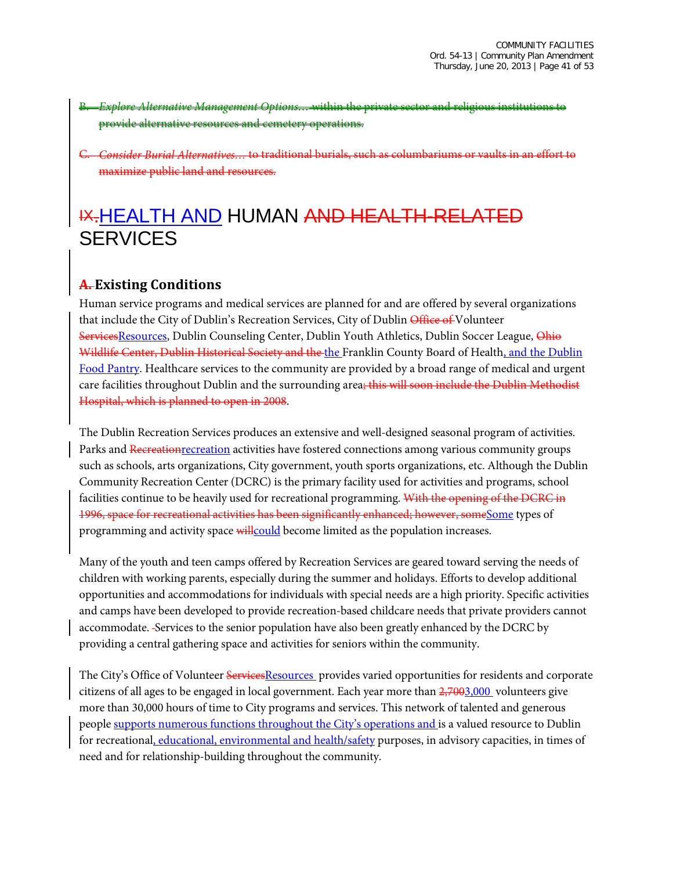- B. *Explore Alternative Management Options…* within the private sector and religious institutions to provide alternative resources and cemetery operation
- C. *Consider Burial Alternatives…* to traditional burials, such as columbariums or vaults in an effort to maximize public land and resources.

# IX.HEALTH AND HUMAN AND HEALTH-RELATED **SERVICES**

## **A. Existing Conditions**

Human service programs and medical services are planned for and are offered by several organizations that include the City of Dublin's Recreation Services, City of Dublin Office of Volunteer ServicesResources, Dublin Counseling Center, Dublin Youth Athletics, Dublin Soccer League, Ohio Wildlife Center, Dublin Historical Society and the the Franklin County Board of Health, and the Dublin Food Pantry. Healthcare services to the community are provided by a broad range of medical and urgent care facilities throughout Dublin and the surrounding area; this will soon include the Dublin Methodist Hospital, which is planned to open in 2008.

The Dublin Recreation Services produces an extensive and well-designed seasonal program of activities. Parks and Recreation recreation activities have fostered connections among various community groups such as schools, arts organizations, City government, youth sports organizations, etc. Although the Dublin Community Recreation Center (DCRC) is the primary facility used for activities and programs, school facilities continue to be heavily used for recreational programming. With the opening of the DCRC in 1996, space for recreational activities has been significantly enhanced; however, someSome types of programming and activity space will could become limited as the population increases.

Many of the youth and teen camps offered by Recreation Services are geared toward serving the needs of children with working parents, especially during the summer and holidays. Efforts to develop additional opportunities and accommodations for individuals with special needs are a high priority. Specific activities and camps have been developed to provide recreation-based childcare needs that private providers cannot accommodate. Services to the senior population have also been greatly enhanced by the DCRC by providing a central gathering space and activities for seniors within the community.

The City's Office of Volunteer ServicesResources provides varied opportunities for residents and corporate citizens of all ages to be engaged in local government. Each year more than  $2,7003,000$  volunteers give more than 30,000 hours of time to City programs and services. This network of talented and generous people supports numerous functions throughout the City's operations and is a valued resource to Dublin for recreational, educational, environmental and health/safety purposes, in advisory capacities, in times of need and for relationship-building throughout the community.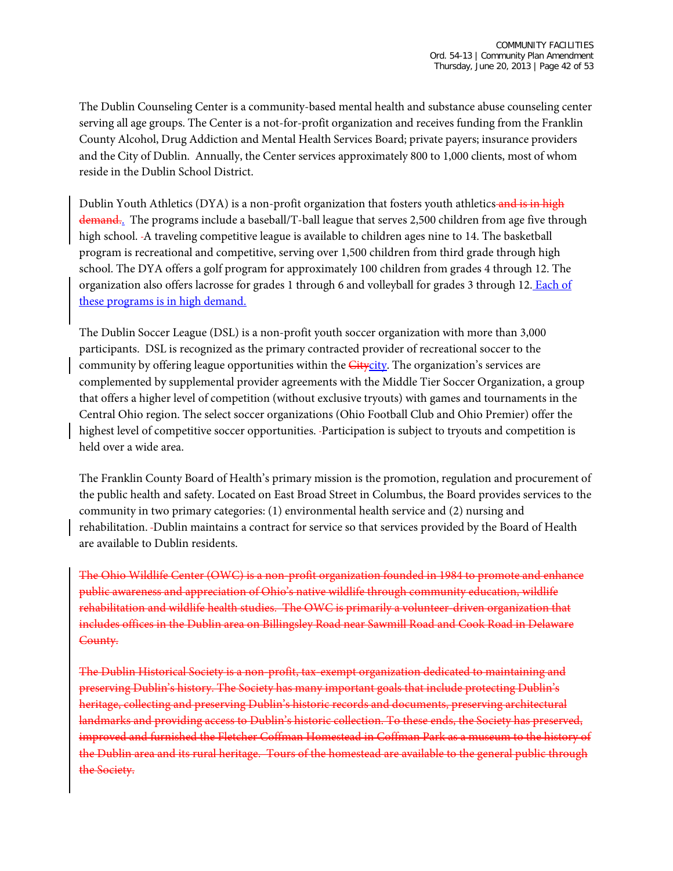The Dublin Counseling Center is a community-based mental health and substance abuse counseling center serving all age groups. The Center is a not-for-profit organization and receives funding from the Franklin County Alcohol, Drug Addiction and Mental Health Services Board; private payers; insurance providers and the City of Dublin. Annually, the Center services approximately 800 to 1,000 clients, most of whom reside in the Dublin School District.

Dublin Youth Athletics (DYA) is a non-profit organization that fosters youth athletics and is in high demand.. The programs include a baseball/T-ball league that serves 2,500 children from age five through high school. A traveling competitive league is available to children ages nine to 14. The basketball program is recreational and competitive, serving over 1,500 children from third grade through high school. The DYA offers a golf program for approximately 100 children from grades 4 through 12. The organization also offers lacrosse for grades 1 through 6 and volleyball for grades 3 through 12. Each of these programs is in high demand.

The Dublin Soccer League (DSL) is a non-profit youth soccer organization with more than 3,000 participants. DSL is recognized as the primary contracted provider of recreational soccer to the community by offering league opportunities within the *Citycity*. The organization's services are complemented by supplemental provider agreements with the Middle Tier Soccer Organization, a group that offers a higher level of competition (without exclusive tryouts) with games and tournaments in the Central Ohio region. The select soccer organizations (Ohio Football Club and Ohio Premier) offer the highest level of competitive soccer opportunities. Participation is subject to tryouts and competition is held over a wide area.

The Franklin County Board of Health's primary mission is the promotion, regulation and procurement of the public health and safety. Located on East Broad Street in Columbus, the Board provides services to the community in two primary categories: (1) environmental health service and (2) nursing and rehabilitation. Dublin maintains a contract for service so that services provided by the Board of Health are available to Dublin residents.

The Ohio Wildlife Center (OWC) is a non-profit organization founded in 1984 to promote and enhance public awareness and appreciation of Ohio's native wildlife through community education, wildlife rehabilitation and wildlife health studies. The OWC is primarily a volunteer-driven organization that includes offices in the Dublin area on Billingsley Road near Sawmill Road and Cook Road in Delaware County.

The Dublin Historical Society is a non-profit, tax-exempt organization dedicated to maintaining and preserving Dublin's history. The Society has many important goals that include protecting Dublin's heritage, collecting and preserving Dublin's historic records and documents, preserving architectural landmarks and providing access to Dublin's historic collection. To these ends, the Society has preserved, improved and furnished the Fletcher Coffman Homestead in Coffman Park as a museum to the history of the Dublin area and its rural heritage. Tours of the homestead are available to the general public through the Society.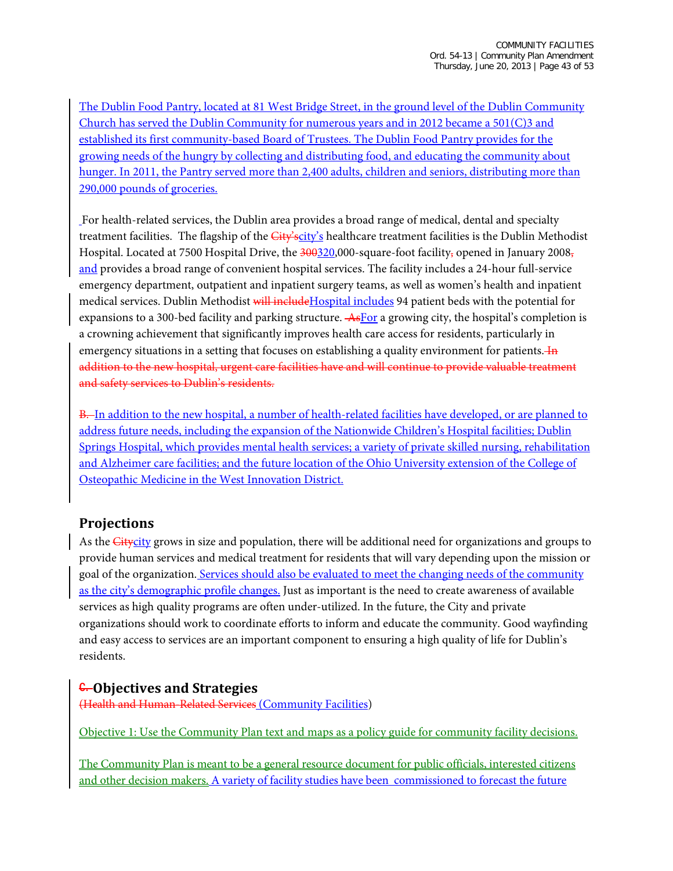The Dublin Food Pantry, located at 81 West Bridge Street, in the ground level of the Dublin Community Church has served the Dublin Community for numerous years and in 2012 became a 501(C)3 and established its first community-based Board of Trustees. The Dublin Food Pantry provides for the growing needs of the hungry by collecting and distributing food, and educating the community about hunger. In 2011, the Pantry served more than 2,400 adults, children and seniors, distributing more than 290,000 pounds of groceries.

For health-related services, the Dublin area provides a broad range of medical, dental and specialty treatment facilities. The flagship of the *City'scity's* healthcare treatment facilities is the Dublin Methodist Hospital. Located at 7500 Hospital Drive, the 300320,000-square-foot facility, opened in January 2008, and provides a broad range of convenient hospital services. The facility includes a 24-hour full-service emergency department, outpatient and inpatient surgery teams, as well as women's health and inpatient medical services. Dublin Methodist will include Hospital includes 94 patient beds with the potential for expansions to a 300-bed facility and parking structure. As For a growing city, the hospital's completion is a crowning achievement that significantly improves health care access for residents, particularly in emergency situations in a setting that focuses on establishing a quality environment for patients. **In** addition to the new hospital, urgent care facilities have and will continue to provide valuable treatment and safety services to Dublin's residents.

B. In addition to the new hospital, a number of health-related facilities have developed, or are planned to address future needs, including the expansion of the Nationwide Children's Hospital facilities; Dublin Springs Hospital, which provides mental health services; a variety of private skilled nursing, rehabilitation and Alzheimer care facilities; and the future location of the Ohio University extension of the College of Osteopathic Medicine in the West Innovation District.

## **Projections**

As the Citycity grows in size and population, there will be additional need for organizations and groups to provide human services and medical treatment for residents that will vary depending upon the mission or goal of the organization. Services should also be evaluated to meet the changing needs of the community as the city's demographic profile changes. Just as important is the need to create awareness of available services as high quality programs are often under-utilized. In the future, the City and private organizations should work to coordinate efforts to inform and educate the community. Good wayfinding and easy access to services are an important component to ensuring a high quality of life for Dublin's residents.

### C. **Objectives and Strategies**

(Health and Human-Related Services (Community Facilities)

Objective 1: Use the Community Plan text and maps as a policy guide for community facility decisions.

The Community Plan is meant to be a general resource document for public officials, interested citizens and other decision makers. A variety of facility studies have been commissioned to forecast the future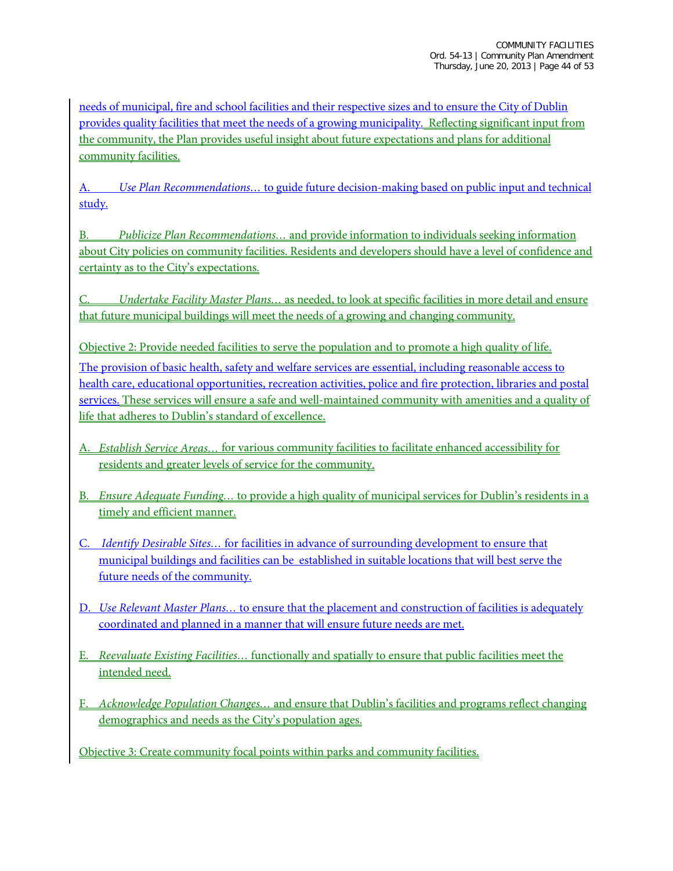needs of municipal, fire and school facilities and their respective sizes and to ensure the City of Dublin provides quality facilities that meet the needs of a growing municipality. Reflecting significant input from the community, the Plan provides useful insight about future expectations and plans for additional community facilities.

A. *Use Plan Recommendations…* to guide future decision-making based on public input and technical study.

B. *Publicize Plan Recommendations…* and provide information to individuals seeking information about City policies on community facilities. Residents and developers should have a level of confidence and certainty as to the City's expectations.

C. *Undertake Facility Master Plans…* as needed, to look at specific facilities in more detail and ensure that future municipal buildings will meet the needs of a growing and changing community.

Objective 2: Provide needed facilities to serve the population and to promote a high quality of life. The provision of basic health, safety and welfare services are essential, including reasonable access to health care, educational opportunities, recreation activities, police and fire protection, libraries and postal services. These services will ensure a safe and well-maintained community with amenities and a quality of life that adheres to Dublin's standard of excellence.

- A. *Establish Service Areas…* for various community facilities to facilitate enhanced accessibility for residents and greater levels of service for the community.
- B. *Ensure Adequate Funding…* to provide a high quality of municipal services for Dublin's residents in a timely and efficient manner.
- C. *Identify Desirable Sites…* for facilities in advance of surrounding development to ensure that municipal buildings and facilities can be established in suitable locations that will best serve the future needs of the community.
- D. *Use Relevant Master Plans…* to ensure that the placement and construction of facilities is adequately coordinated and planned in a manner that will ensure future needs are met.
- E. *Reevaluate Existing Facilities…* functionally and spatially to ensure that public facilities meet the intended need.
- F. *Acknowledge Population Changes…* and ensure that Dublin's facilities and programs reflect changing demographics and needs as the City's population ages.

Objective 3: Create community focal points within parks and community facilities.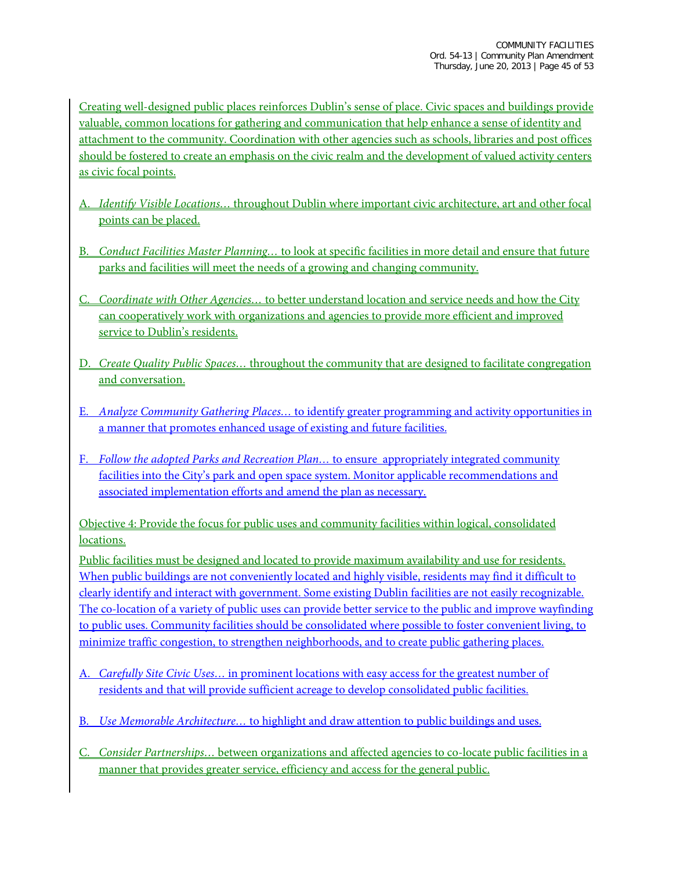Creating well-designed public places reinforces Dublin's sense of place. Civic spaces and buildings provide valuable, common locations for gathering and communication that help enhance a sense of identity and attachment to the community. Coordination with other agencies such as schools, libraries and post offices should be fostered to create an emphasis on the civic realm and the development of valued activity centers as civic focal points.

- A. *Identify Visible Locations…* throughout Dublin where important civic architecture, art and other focal points can be placed.
- B. *Conduct Facilities Master Planning…* to look at specific facilities in more detail and ensure that future parks and facilities will meet the needs of a growing and changing community.
- C. *Coordinate with Other Agencies…* to better understand location and service needs and how the City can cooperatively work with organizations and agencies to provide more efficient and improved service to Dublin's residents.
- D. *Create Quality Public Spaces…* throughout the community that are designed to facilitate congregation and conversation.
- E. *Analyze Community Gathering Places…* to identify greater programming and activity opportunities in a manner that promotes enhanced usage of existing and future facilities.
- F. *Follow the adopted Parks and Recreation Plan…* to ensure appropriately integrated community facilities into the City's park and open space system. Monitor applicable recommendations and associated implementation efforts and amend the plan as necessary.

Objective 4: Provide the focus for public uses and community facilities within logical, consolidated locations.

Public facilities must be designed and located to provide maximum availability and use for residents. When public buildings are not conveniently located and highly visible, residents may find it difficult to clearly identify and interact with government. Some existing Dublin facilities are not easily recognizable. The co-location of a variety of public uses can provide better service to the public and improve wayfinding to public uses. Community facilities should be consolidated where possible to foster convenient living, to minimize traffic congestion, to strengthen neighborhoods, and to create public gathering places.

- A. *Carefully Site Civic Uses…* in prominent locations with easy access for the greatest number of residents and that will provide sufficient acreage to develop consolidated public facilities.
- B. *Use Memorable Architecture…* to highlight and draw attention to public buildings and uses.
- C. *Consider Partnerships…* between organizations and affected agencies to co-locate public facilities in a manner that provides greater service, efficiency and access for the general public.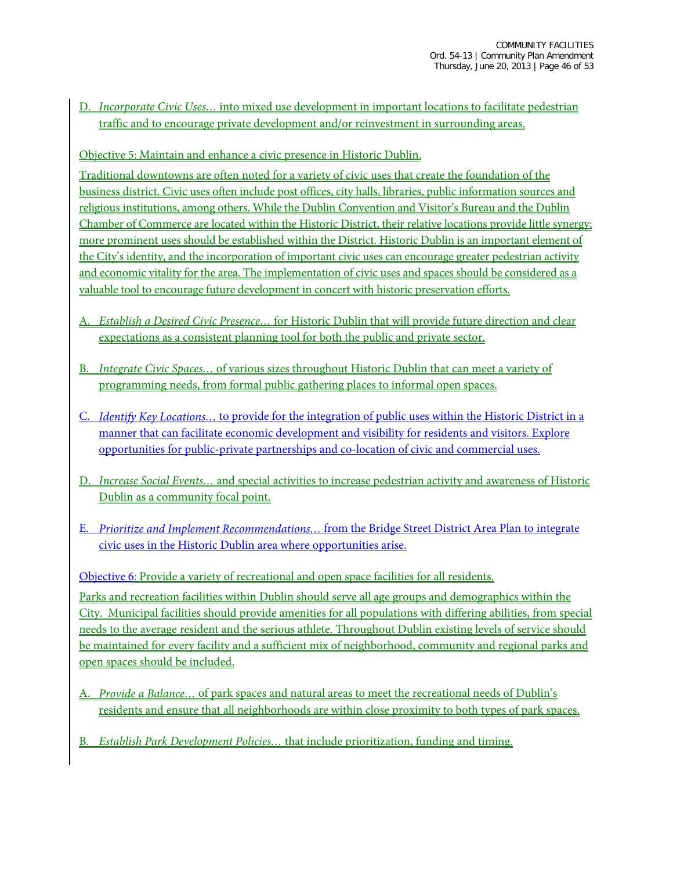D. *Incorporate Civic Uses…* into mixed use development in important locations to facilitate pedestrian traffic and to encourage private development and/or reinvestment in surrounding areas.

Objective 5: Maintain and enhance a civic presence in Historic Dublin.

Traditional downtowns are often noted for a variety of civic uses that create the foundation of the business district. Civic uses often include post offices, city halls, libraries, public information sources and religious institutions, among others. While the Dublin Convention and Visitor's Bureau and the Dublin Chamber of Commerce are located within the Historic District, their relative locations provide little synergy; more prominent uses should be established within the District. Historic Dublin is an important element of the City's identity, and the incorporation of important civic uses can encourage greater pedestrian activity and economic vitality for the area. The implementation of civic uses and spaces should be considered as a valuable tool to encourage future development in concert with historic preservation efforts.

- A. *Establish a Desired Civic Presence…* for Historic Dublin that will provide future direction and clear expectations as a consistent planning tool for both the public and private sector.
- B. *Integrate Civic Spaces…* of various sizes throughout Historic Dublin that can meet a variety of programming needs, from formal public gathering places to informal open spaces.
- C. *Identify Key Locations…* to provide for the integration of public uses within the Historic District in a manner that can facilitate economic development and visibility for residents and visitors. Explore opportunities for public-private partnerships and co-location of civic and commercial uses.
- D. *Increase Social Events…* and special activities to increase pedestrian activity and awareness of Historic Dublin as a community focal point.
- E. *Prioritize and Implement Recommendations…* from the Bridge Street District Area Plan to integrate civic uses in the Historic Dublin area where opportunities arise.

Objective 6: Provide a variety of recreational and open space facilities for all residents. Parks and recreation facilities within Dublin should serve all age groups and demographics within the City. Municipal facilities should provide amenities for all populations with differing abilities, from special needs to the average resident and the serious athlete. Throughout Dublin existing levels of service should be maintained for every facility and a sufficient mix of neighborhood, community and regional parks and open spaces should be included.

- A. *Provide a Balance…* of park spaces and natural areas to meet the recreational needs of Dublin's residents and ensure that all neighborhoods are within close proximity to both types of park spaces.
- B. *Establish Park Development Policies…* that include prioritization, funding and timing.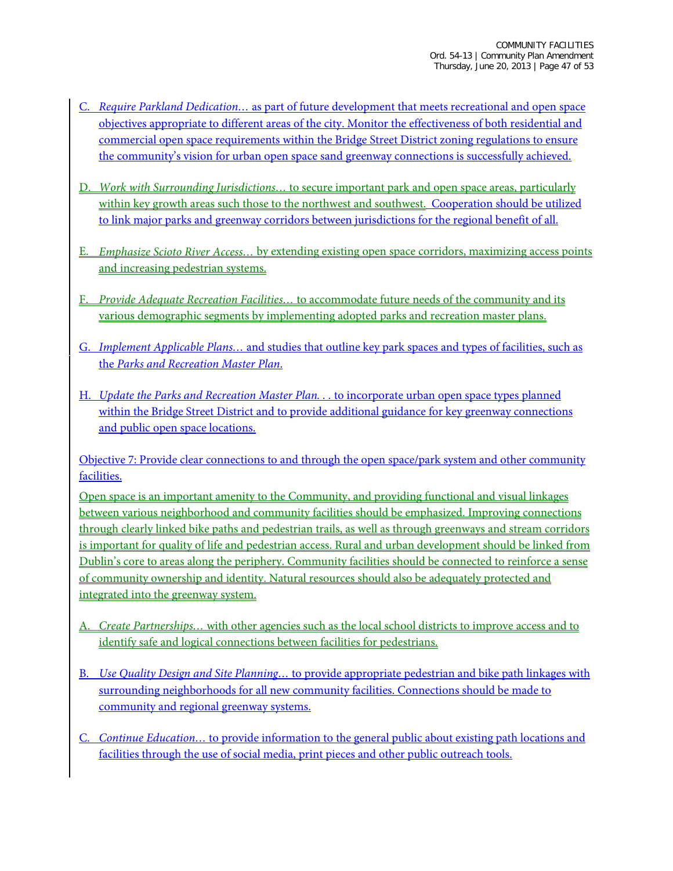- C. *Require Parkland Dedication…* as part of future development that meets recreational and open space objectives appropriate to different areas of the city. Monitor the effectiveness of both residential and commercial open space requirements within the Bridge Street District zoning regulations to ensure the community's vision for urban open space sand greenway connections is successfully achieved.
- D. *Work with Surrounding Jurisdictions…* to secure important park and open space areas, particularly within key growth areas such those to the northwest and southwest. Cooperation should be utilized to link major parks and greenway corridors between jurisdictions for the regional benefit of all.
- E. *Emphasize Scioto River Access…* by extending existing open space corridors, maximizing access points and increasing pedestrian systems.
- F. *Provide Adequate Recreation Facilities…* to accommodate future needs of the community and its various demographic segments by implementing adopted parks and recreation master plans.
- G. *Implement Applicable Plans…* and studies that outline key park spaces and types of facilities, such as the *Parks and Recreation Master Plan*.
- H. *Update the Parks and Recreation Master Plan. . .* to incorporate urban open space types planned within the Bridge Street District and to provide additional guidance for key greenway connections and public open space locations.

Objective 7: Provide clear connections to and through the open space/park system and other community facilities.

Open space is an important amenity to the Community, and providing functional and visual linkages between various neighborhood and community facilities should be emphasized. Improving connections through clearly linked bike paths and pedestrian trails, as well as through greenways and stream corridors is important for quality of life and pedestrian access. Rural and urban development should be linked from Dublin's core to areas along the periphery. Community facilities should be connected to reinforce a sense of community ownership and identity. Natural resources should also be adequately protected and integrated into the greenway system.

- A. *Create Partnerships…* with other agencies such as the local school districts to improve access and to identify safe and logical connections between facilities for pedestrians.
- B. *Use Quality Design and Site Planning…* to provide appropriate pedestrian and bike path linkages with surrounding neighborhoods for all new community facilities. Connections should be made to community and regional greenway systems.
- C. *Continue Education…* to provide information to the general public about existing path locations and facilities through the use of social media, print pieces and other public outreach tools.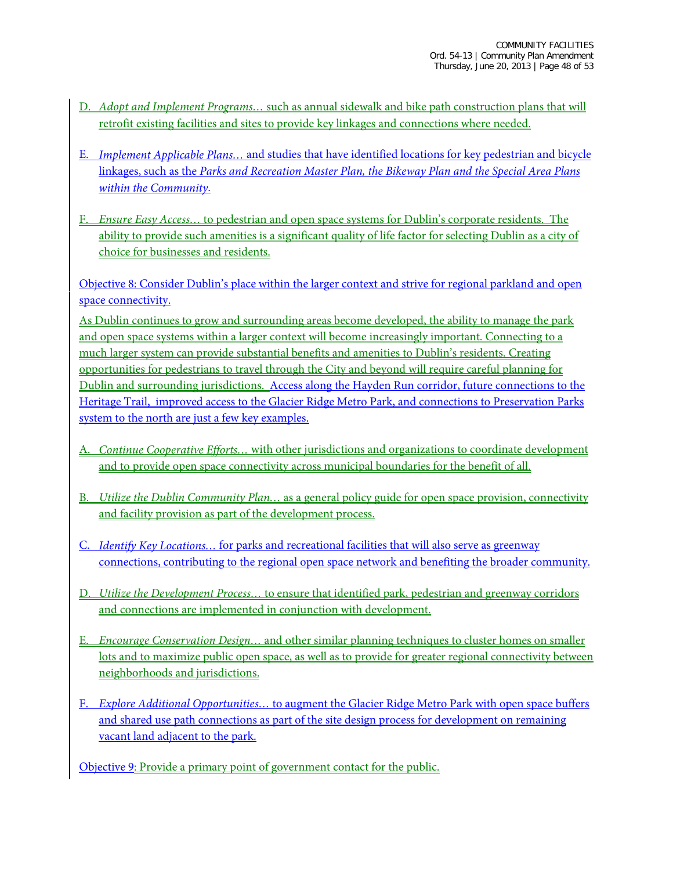- D. *Adopt and Implement Programs…* such as annual sidewalk and bike path construction plans that will retrofit existing facilities and sites to provide key linkages and connections where needed.
- E. *Implement Applicable Plans…* and studies that have identified locations for key pedestrian and bicycle linkages, such as the *Parks and Recreation Master Plan, the Bikeway Plan and the Special Area Plans within the Community*.
- F. *Ensure Easy Access…* to pedestrian and open space systems for Dublin's corporate residents. The ability to provide such amenities is a significant quality of life factor for selecting Dublin as a city of choice for businesses and residents.

Objective 8: Consider Dublin's place within the larger context and strive for regional parkland and open space connectivity.

As Dublin continues to grow and surrounding areas become developed, the ability to manage the park and open space systems within a larger context will become increasingly important. Connecting to a much larger system can provide substantial benefits and amenities to Dublin's residents. Creating opportunities for pedestrians to travel through the City and beyond will require careful planning for Dublin and surrounding jurisdictions. Access along the Hayden Run corridor, future connections to the Heritage Trail, improved access to the Glacier Ridge Metro Park, and connections to Preservation Parks system to the north are just a few key examples.

- A. *Continue Cooperative Efforts…* with other jurisdictions and organizations to coordinate development and to provide open space connectivity across municipal boundaries for the benefit of all.
- B. *Utilize the Dublin Community Plan…* as a general policy guide for open space provision, connectivity and facility provision as part of the development process.
- C. *Identify Key Locations…* for parks and recreational facilities that will also serve as greenway connections, contributing to the regional open space network and benefiting the broader community.
- D. *Utilize the Development Process…* to ensure that identified park, pedestrian and greenway corridors and connections are implemented in conjunction with development.
- E. *Encourage Conservation Design…* and other similar planning techniques to cluster homes on smaller lots and to maximize public open space, as well as to provide for greater regional connectivity between neighborhoods and jurisdictions.
- F. *Explore Additional Opportunities…* to augment the Glacier Ridge Metro Park with open space buffers and shared use path connections as part of the site design process for development on remaining vacant land adjacent to the park.

Objective 9: Provide a primary point of government contact for the public.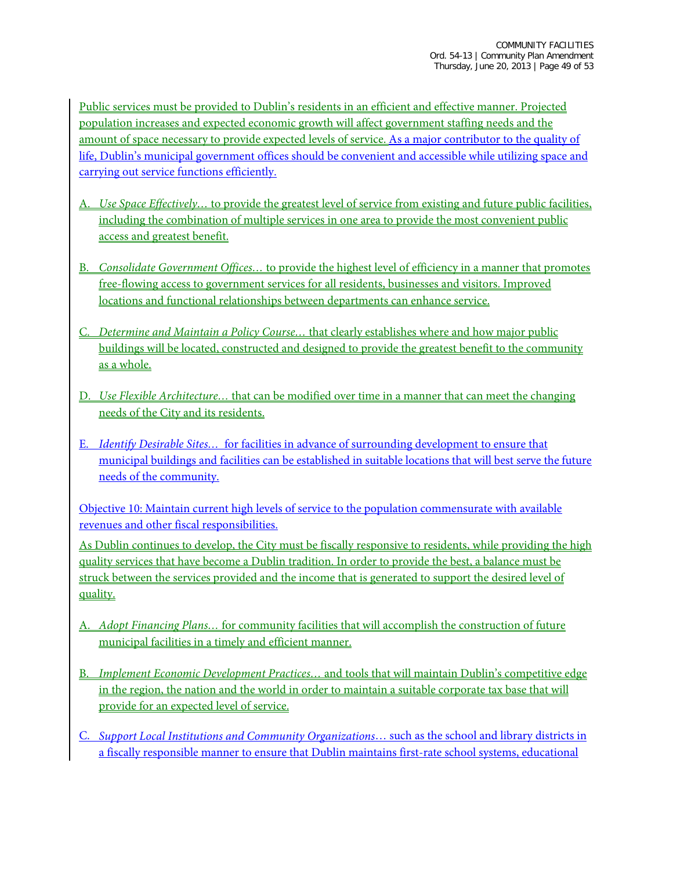Public services must be provided to Dublin's residents in an efficient and effective manner. Projected population increases and expected economic growth will affect government staffing needs and the amount of space necessary to provide expected levels of service. As a major contributor to the quality of life, Dublin's municipal government offices should be convenient and accessible while utilizing space and carrying out service functions efficiently.

- A. *Use Space Effectively…* to provide the greatest level of service from existing and future public facilities, including the combination of multiple services in one area to provide the most convenient public access and greatest benefit.
- B. *Consolidate Government Offices…* to provide the highest level of efficiency in a manner that promotes free-flowing access to government services for all residents, businesses and visitors. Improved locations and functional relationships between departments can enhance service.
- C. *Determine and Maintain a Policy Course…* that clearly establishes where and how major public buildings will be located, constructed and designed to provide the greatest benefit to the community as a whole.
- D. *Use Flexible Architecture…* that can be modified over time in a manner that can meet the changing needs of the City and its residents.
- E. *Identify Desirable Sites…* for facilities in advance of surrounding development to ensure that municipal buildings and facilities can be established in suitable locations that will best serve the future needs of the community.

Objective 10: Maintain current high levels of service to the population commensurate with available revenues and other fiscal responsibilities.

As Dublin continues to develop, the City must be fiscally responsive to residents, while providing the high quality services that have become a Dublin tradition. In order to provide the best, a balance must be struck between the services provided and the income that is generated to support the desired level of quality.

- A. *Adopt Financing Plans…* for community facilities that will accomplish the construction of future municipal facilities in a timely and efficient manner.
- B. *Implement Economic Development Practices…* and tools that will maintain Dublin's competitive edge in the region, the nation and the world in order to maintain a suitable corporate tax base that will provide for an expected level of service.
- C. *Support Local Institutions and Community Organizations*… such as the school and library districts in a fiscally responsible manner to ensure that Dublin maintains first-rate school systems, educational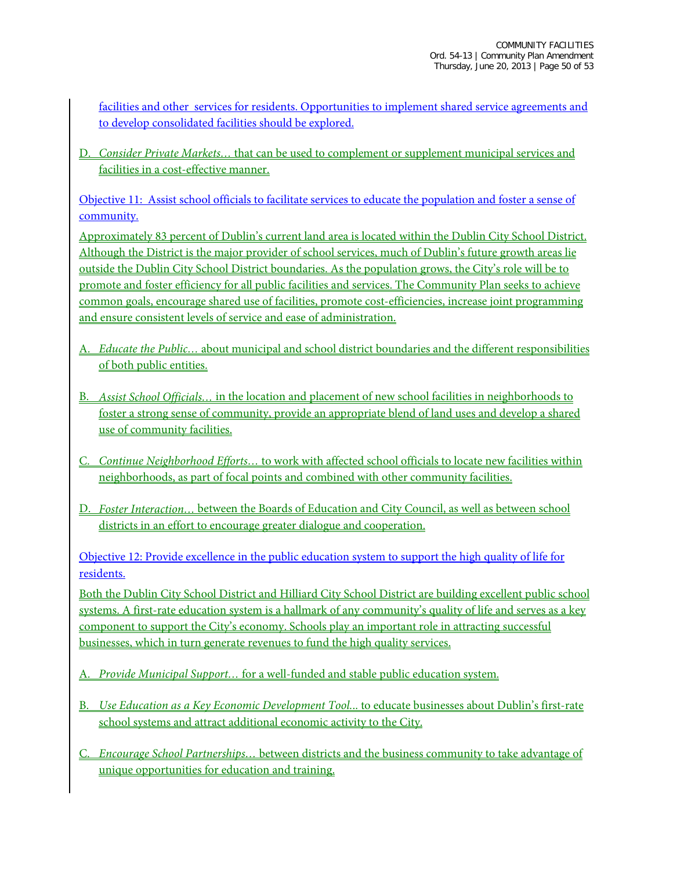facilities and other services for residents. Opportunities to implement shared service agreements and to develop consolidated facilities should be explored.

D. *Consider Private Markets…* that can be used to complement or supplement municipal services and facilities in a cost-effective manner.

Objective 11: Assist school officials to facilitate services to educate the population and foster a sense of community.

Approximately 83 percent of Dublin's current land area is located within the Dublin City School District. Although the District is the major provider of school services, much of Dublin's future growth areas lie outside the Dublin City School District boundaries. As the population grows, the City's role will be to promote and foster efficiency for all public facilities and services. The Community Plan seeks to achieve common goals, encourage shared use of facilities, promote cost-efficiencies, increase joint programming and ensure consistent levels of service and ease of administration.

- A. *Educate the Public…* about municipal and school district boundaries and the different responsibilities of both public entities.
- B. *Assist School Officials…* in the location and placement of new school facilities in neighborhoods to foster a strong sense of community, provide an appropriate blend of land uses and develop a shared use of community facilities.
- C. *Continue Neighborhood Efforts…* to work with affected school officials to locate new facilities within neighborhoods, as part of focal points and combined with other community facilities.
- D. *Foster Interaction…* between the Boards of Education and City Council, as well as between school districts in an effort to encourage greater dialogue and cooperation.

Objective 12: Provide excellence in the public education system to support the high quality of life for residents.

Both the Dublin City School District and Hilliard City School District are building excellent public school systems. A first-rate education system is a hallmark of any community's quality of life and serves as a key component to support the City's economy. Schools play an important role in attracting successful businesses, which in turn generate revenues to fund the high quality services.

- A. *Provide Municipal Support…* for a well-funded and stable public education system.
- B. *Use Education as a Key Economic Development Tool.*.. to educate businesses about Dublin's first-rate school systems and attract additional economic activity to the City.
- C. *Encourage School Partnerships…* between districts and the business community to take advantage of unique opportunities for education and training.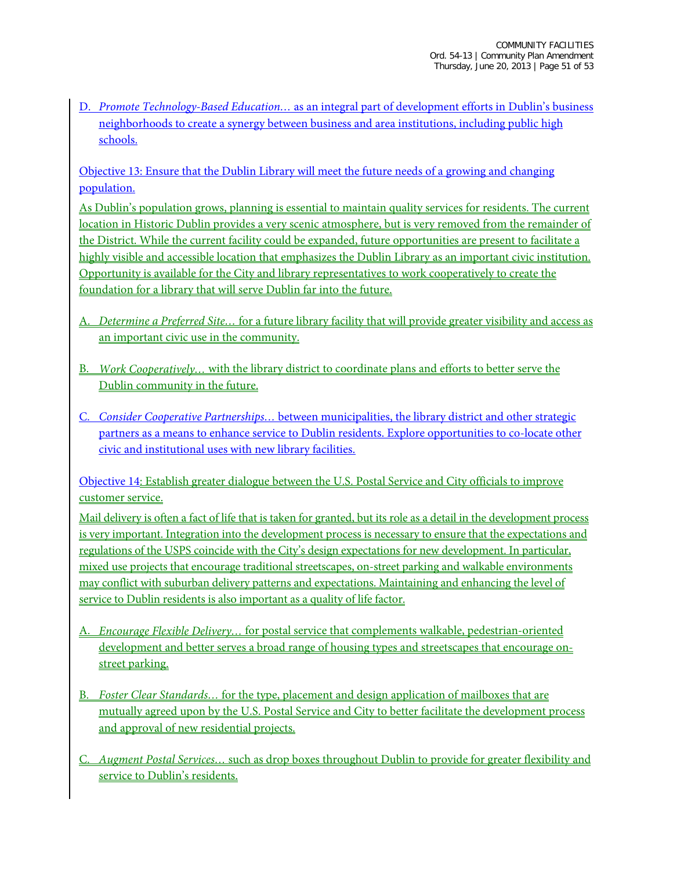D. *Promote Technology-Based Education…* as an integral part of development efforts in Dublin's business neighborhoods to create a synergy between business and area institutions, including public high schools.

Objective 13: Ensure that the Dublin Library will meet the future needs of a growing and changing population.

As Dublin's population grows, planning is essential to maintain quality services for residents. The current location in Historic Dublin provides a very scenic atmosphere, but is very removed from the remainder of the District. While the current facility could be expanded, future opportunities are present to facilitate a highly visible and accessible location that emphasizes the Dublin Library as an important civic institution. Opportunity is available for the City and library representatives to work cooperatively to create the foundation for a library that will serve Dublin far into the future.

- A. *Determine a Preferred Site…* for a future library facility that will provide greater visibility and access as an important civic use in the community.
- B. *Work Cooperatively…* with the library district to coordinate plans and efforts to better serve the Dublin community in the future.
- C. *Consider Cooperative Partnerships…* between municipalities, the library district and other strategic partners as a means to enhance service to Dublin residents. Explore opportunities to co-locate other civic and institutional uses with new library facilities.

Objective 14: Establish greater dialogue between the U.S. Postal Service and City officials to improve customer service.

Mail delivery is often a fact of life that is taken for granted, but its role as a detail in the development process is very important. Integration into the development process is necessary to ensure that the expectations and regulations of the USPS coincide with the City's design expectations for new development. In particular, mixed use projects that encourage traditional streetscapes, on-street parking and walkable environments may conflict with suburban delivery patterns and expectations. Maintaining and enhancing the level of service to Dublin residents is also important as a quality of life factor.

- A. *Encourage Flexible Delivery…* for postal service that complements walkable, pedestrian-oriented development and better serves a broad range of housing types and streetscapes that encourage onstreet parking.
- B. *Foster Clear Standards…* for the type, placement and design application of mailboxes that are mutually agreed upon by the U.S. Postal Service and City to better facilitate the development process and approval of new residential projects.
- C. *Augment Postal Services…* such as drop boxes throughout Dublin to provide for greater flexibility and service to Dublin's residents.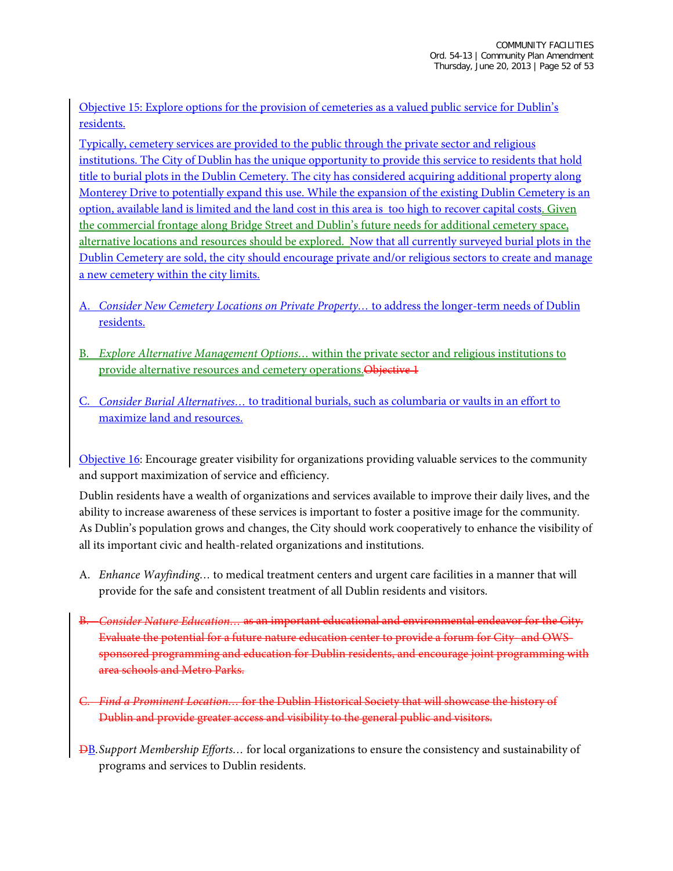Objective 15: Explore options for the provision of cemeteries as a valued public service for Dublin's residents.

Typically, cemetery services are provided to the public through the private sector and religious institutions. The City of Dublin has the unique opportunity to provide this service to residents that hold title to burial plots in the Dublin Cemetery. The city has considered acquiring additional property along Monterey Drive to potentially expand this use. While the expansion of the existing Dublin Cemetery is an option, available land is limited and the land cost in this area is too high to recover capital costs. Given the commercial frontage along Bridge Street and Dublin's future needs for additional cemetery space, alternative locations and resources should be explored. Now that all currently surveyed burial plots in the Dublin Cemetery are sold, the city should encourage private and/or religious sectors to create and manage a new cemetery within the city limits.

- A. *Consider New Cemetery Locations on Private Property…* to address the longer-term needs of Dublin residents.
- B. *Explore Alternative Management Options…* within the private sector and religious institutions to provide alternative resources and cemetery operations. Objective 1
- C. *Consider Burial Alternatives…* to traditional burials, such as columbaria or vaults in an effort to maximize land and resources.

Objective 16: Encourage greater visibility for organizations providing valuable services to the community and support maximization of service and efficiency.

Dublin residents have a wealth of organizations and services available to improve their daily lives, and the ability to increase awareness of these services is important to foster a positive image for the community. As Dublin's population grows and changes, the City should work cooperatively to enhance the visibility of all its important civic and health-related organizations and institutions.

- A. *Enhance Wayfinding…* to medical treatment centers and urgent care facilities in a manner that will provide for the safe and consistent treatment of all Dublin residents and visitors.
- B. *Consider Nature Education…* as an important educational and environmental endeavor for the City. Evaluate the potential for a future nature education center to provide a forum for City- and OWSsponsored programming and education for Dublin residents, and encourage joint programming with area schools and Metro Parks.
- C. *Find a Prominent Location…* for the Dublin Historical Society that will showcase the history of Dublin and provide greater access and visibility to the general public and visitors.
- DB.*Support Membership Efforts…* for local organizations to ensure the consistency and sustainability of programs and services to Dublin residents.